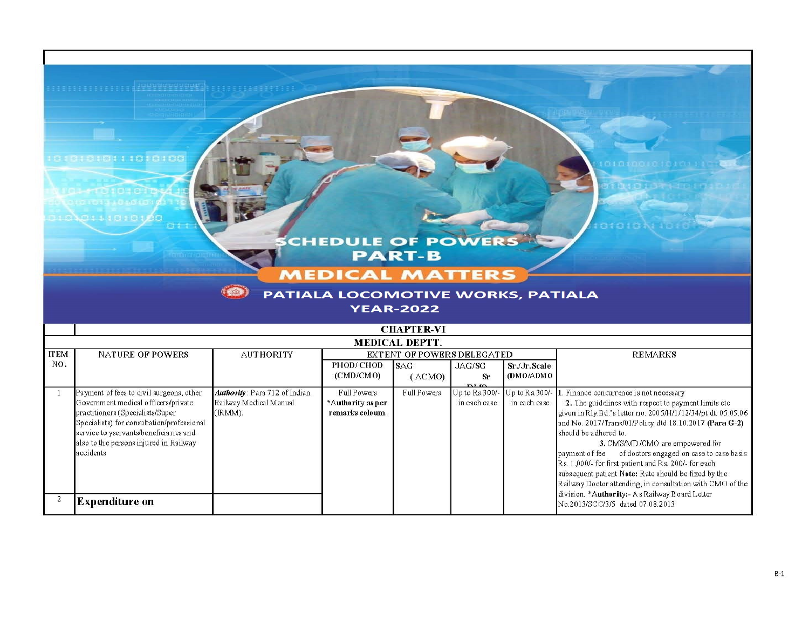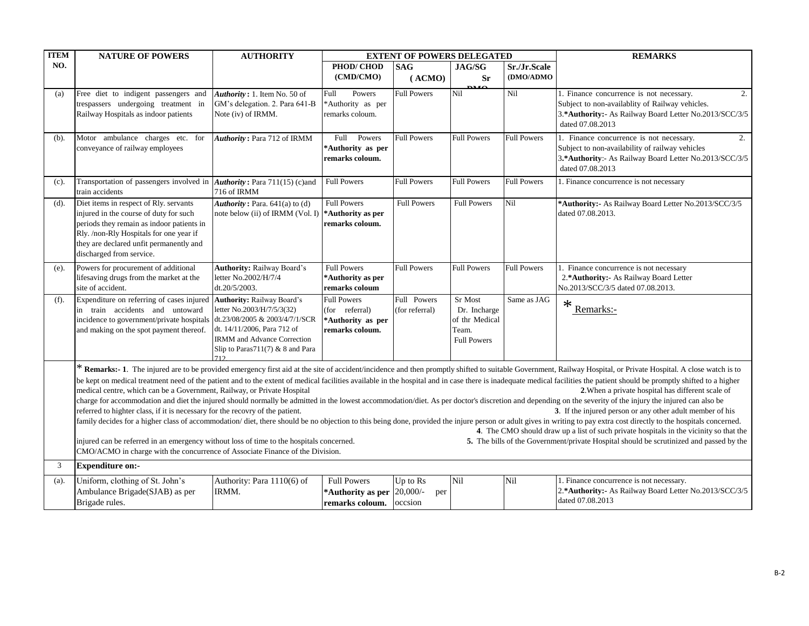| <b>ITEM</b> | <b>NATURE OF POWERS</b>                                                                                                                                                                                                                                                                                                                                                                                                                                                                                                                                                                                                                                                                                                                                                                                                                                                                                                                                                                                                                                                                                                                                                                                                                                                                                                                                                                                                                                                                                                             | <b>AUTHORITY</b>                                                                                                                       |                                                                              | <b>EXTENT OF POWERS DELEGATED</b> |                                                                          |                           | <b>REMARKS</b>                                                                                                                                                                  |  |
|-------------|-------------------------------------------------------------------------------------------------------------------------------------------------------------------------------------------------------------------------------------------------------------------------------------------------------------------------------------------------------------------------------------------------------------------------------------------------------------------------------------------------------------------------------------------------------------------------------------------------------------------------------------------------------------------------------------------------------------------------------------------------------------------------------------------------------------------------------------------------------------------------------------------------------------------------------------------------------------------------------------------------------------------------------------------------------------------------------------------------------------------------------------------------------------------------------------------------------------------------------------------------------------------------------------------------------------------------------------------------------------------------------------------------------------------------------------------------------------------------------------------------------------------------------------|----------------------------------------------------------------------------------------------------------------------------------------|------------------------------------------------------------------------------|-----------------------------------|--------------------------------------------------------------------------|---------------------------|---------------------------------------------------------------------------------------------------------------------------------------------------------------------------------|--|
| NO.         |                                                                                                                                                                                                                                                                                                                                                                                                                                                                                                                                                                                                                                                                                                                                                                                                                                                                                                                                                                                                                                                                                                                                                                                                                                                                                                                                                                                                                                                                                                                                     |                                                                                                                                        | PHOD/CHOD<br>(CMD/CMO)                                                       | <b>SAG</b><br>(ACMO)              | <b>JAG/SG</b><br><b>Sr</b><br><b>DAC</b>                                 | Sr./Jr.Scale<br>(DMO/ADMO |                                                                                                                                                                                 |  |
| (a)         | Free diet to indigent passengers and<br>trespassers undergoing treatment in<br>Railway Hospitals as indoor patients                                                                                                                                                                                                                                                                                                                                                                                                                                                                                                                                                                                                                                                                                                                                                                                                                                                                                                                                                                                                                                                                                                                                                                                                                                                                                                                                                                                                                 | Authority: 1. Item No. 50 of<br>GM's delegation. 2. Para 641-B<br>Note (iv) of IRMM.                                                   | Powers<br>Full<br>*Authority as per<br>remarks coloum.                       | <b>Full Powers</b>                | Nil                                                                      | Nil                       | 1. Finance concurrence is not necessary.<br>2.<br>Subject to non-availablity of Railway vehicles.<br>3.*Authority:- As Railway Board Letter No.2013/SCC/3/5<br>dated 07.08.2013 |  |
| $(b)$ .     | Motor ambulance charges etc. for<br>conveyance of railway employees                                                                                                                                                                                                                                                                                                                                                                                                                                                                                                                                                                                                                                                                                                                                                                                                                                                                                                                                                                                                                                                                                                                                                                                                                                                                                                                                                                                                                                                                 | Authority: Para 712 of IRMM                                                                                                            | Full<br>Powers<br>*Authority as per<br>remarks coloum.                       | <b>Full Powers</b>                | <b>Full Powers</b>                                                       | <b>Full Powers</b>        | 1. Finance concurrence is not necessary.<br>2.<br>Subject to non-availability of railway vehicles<br>3.*Authority:- As Railway Board Letter No.2013/SCC/3/5<br>dated 07.08.2013 |  |
| $(c)$ .     | Transportation of passengers involved in <i>Authority</i> : Para 711(15) (c)and<br>train accidents                                                                                                                                                                                                                                                                                                                                                                                                                                                                                                                                                                                                                                                                                                                                                                                                                                                                                                                                                                                                                                                                                                                                                                                                                                                                                                                                                                                                                                  | 716 of IRMM                                                                                                                            | <b>Full Powers</b>                                                           | <b>Full Powers</b>                | <b>Full Powers</b>                                                       | <b>Full Powers</b>        | 1. Finance concurrence is not necessary                                                                                                                                         |  |
| $(d)$ .     | Diet items in respect of Rly. servants<br>injured in the course of duty for such<br>periods they remain as indoor patients in<br>Rly. /non-Rly Hospitals for one year if<br>they are declared unfit permanently and<br>discharged from service.                                                                                                                                                                                                                                                                                                                                                                                                                                                                                                                                                                                                                                                                                                                                                                                                                                                                                                                                                                                                                                                                                                                                                                                                                                                                                     | Authority: Para. $641(a)$ to $(d)$<br>note below (ii) of IRMM (Vol. I)                                                                 | <b>Full Powers</b><br>*Authority as per<br>remarks coloum.                   | <b>Full Powers</b>                | <b>Full Powers</b>                                                       | Nil                       | *Authority:- As Railway Board Letter No.2013/SCC/3/5<br>dated 07.08.2013.                                                                                                       |  |
| (e).        | Powers for procurement of additional<br>lifesaving drugs from the market at the<br>site of accident.                                                                                                                                                                                                                                                                                                                                                                                                                                                                                                                                                                                                                                                                                                                                                                                                                                                                                                                                                                                                                                                                                                                                                                                                                                                                                                                                                                                                                                | <b>Authority: Railway Board's</b><br>letter No.2002/H/7/4<br>dt.20/5/2003.                                                             | <b>Full Powers</b><br>*Authority as per<br>remarks coloum                    | <b>Full Powers</b>                | <b>Full Powers</b>                                                       | <b>Full Powers</b>        | 1. Finance concurrence is not necessary<br>2.*Authority:- As Railway Board Letter<br>No.2013/SCC/3/5 dated 07.08.2013.                                                          |  |
| $(f)$ .     | Expenditure on referring of cases injured Authority: Railway Board's<br>in train accidents and untoward<br>incidence to government/private hospitals dt.23/08/2005 & 2003/4/7/1/SCR<br>and making on the spot payment thereof.                                                                                                                                                                                                                                                                                                                                                                                                                                                                                                                                                                                                                                                                                                                                                                                                                                                                                                                                                                                                                                                                                                                                                                                                                                                                                                      | letter No.2003/H/7/5/3(32)<br>dt. 14/11/2006, Para 712 of<br>IRMM and Advance Correction<br>Slip to Paras $711(7)$ & 8 and Para<br>712 | <b>Full Powers</b><br>(for referral)<br>*Authority as per<br>remarks coloum. | Full Powers<br>(for referral)     | Sr Most<br>Dr. Incharge<br>of thr Medical<br>Team.<br><b>Full Powers</b> | Same as JAG               | $*$ Remarks:-                                                                                                                                                                   |  |
|             | * Remarks:- 1. The injured are to be provided emergency first aid at the site of accident/incidence and then promptly shifted to suitable Government, Railway Hospital, or Private Hospital. A close watch is to<br>be kept on medical treatment need of the patient and to the extent of medical facilities available in the hospital and in case there is inadequate medical facilities the patient should be promptly shifted to a higher<br>medical centre, which can be a Government, Railway, or Private Hospital<br>2. When a private hospital has different scale of<br>charge for accommodation and diet the injured should normally be admitted in the lowest accommodation/diet. As per doctor's discretion and depending on the severity of the injury the injured can also be<br>referred to highter class, if it is necessary for the recovry of the patient.<br>3. If the injured person or any other adult member of his<br>family decides for a higher class of accommodation/diet, there should be no objection to this being done, provided the injure person or adult gives in writing to pay extra cost directly to the hospitals concerned.<br>4. The CMO should draw up a list of such private hospitals in the vicinity so that the<br>injured can be referred in an emergency without loss of time to the hospitals concerned.<br>5. The bills of the Government/private Hospital should be scrutinized and passed by the<br>CMO/ACMO in charge with the concurrence of Associate Finance of the Division. |                                                                                                                                        |                                                                              |                                   |                                                                          |                           |                                                                                                                                                                                 |  |
| 3           | <b>Expenditure on:-</b>                                                                                                                                                                                                                                                                                                                                                                                                                                                                                                                                                                                                                                                                                                                                                                                                                                                                                                                                                                                                                                                                                                                                                                                                                                                                                                                                                                                                                                                                                                             |                                                                                                                                        |                                                                              |                                   |                                                                          |                           |                                                                                                                                                                                 |  |
| (a).        | Uniform, clothing of St. John's<br>Ambulance Brigade(SJAB) as per<br>Brigade rules.                                                                                                                                                                                                                                                                                                                                                                                                                                                                                                                                                                                                                                                                                                                                                                                                                                                                                                                                                                                                                                                                                                                                                                                                                                                                                                                                                                                                                                                 | Authority: Para 1110(6) of<br>IRMM.                                                                                                    | <b>Full Powers</b><br>*Authority as per 20,000/-<br>remarks coloum.          | $Up$ to $Rs$<br>per<br>occsion    | Nil                                                                      | Nil                       | 1. Finance concurrence is not necessary.<br>2.*Authority:- As Railway Board Letter No.2013/SCC/3/5<br>dated 07.08.2013                                                          |  |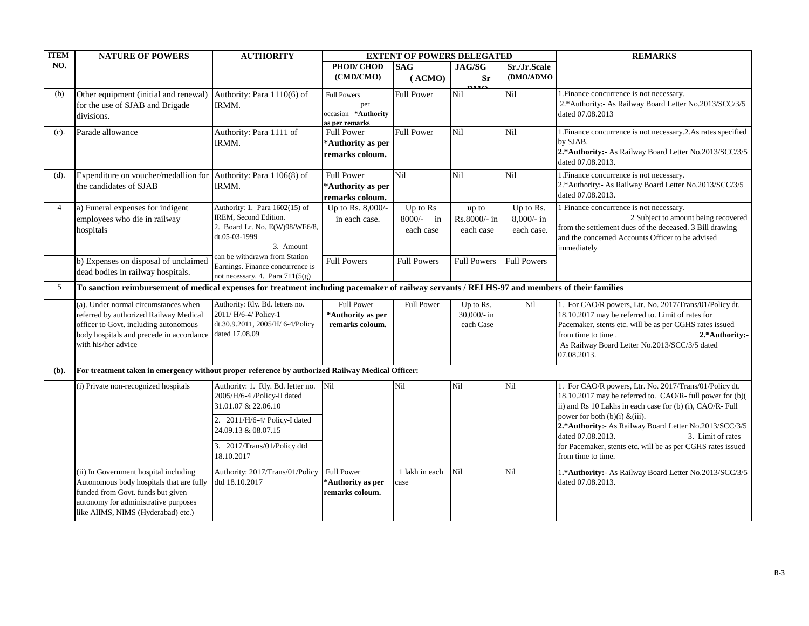| <b>ITEM</b>    | <b>NATURE OF POWERS</b>                                                                                                                                                                              | <b>AUTHORITY</b>                                                                                                                                                                             |                                                                    | <b>EXTENT OF POWERS DELEGATED</b>  |                                       |                                        | <b>REMARKS</b>                                                                                                                                                                                                                                                                                                                                                                          |
|----------------|------------------------------------------------------------------------------------------------------------------------------------------------------------------------------------------------------|----------------------------------------------------------------------------------------------------------------------------------------------------------------------------------------------|--------------------------------------------------------------------|------------------------------------|---------------------------------------|----------------------------------------|-----------------------------------------------------------------------------------------------------------------------------------------------------------------------------------------------------------------------------------------------------------------------------------------------------------------------------------------------------------------------------------------|
| NO.            |                                                                                                                                                                                                      |                                                                                                                                                                                              | PHOD/CHOD                                                          | <b>SAG</b>                         | <b>JAG/SG</b>                         | Sr./Jr.Scale                           |                                                                                                                                                                                                                                                                                                                                                                                         |
|                |                                                                                                                                                                                                      |                                                                                                                                                                                              | (CMD/CMO)                                                          | (ACMO)                             | <b>Sr</b>                             | (DMO/ADMO                              |                                                                                                                                                                                                                                                                                                                                                                                         |
| (b)            | Other equipment (initial and renewal) Authority: Para 1110(6) of<br>for the use of SJAB and Brigade<br>divisions.                                                                                    | IRMM.                                                                                                                                                                                        | <b>Full Powers</b><br>per<br>occasion *Authority<br>as per remarks | <b>Full Power</b>                  | Nil                                   | Nil                                    | 1. Finance concurrence is not necessary.<br>2.*Authority:- As Railway Board Letter No.2013/SCC/3/5<br>dated 07.08.2013                                                                                                                                                                                                                                                                  |
| $(c)$ .        | Parade allowance                                                                                                                                                                                     | Authority: Para 1111 of<br>IRMM.                                                                                                                                                             | <b>Full Power</b><br>*Authority as per<br>remarks coloum.          | <b>Full Power</b>                  | Nil                                   | Nil                                    | 1. Finance concurrence is not necessary. 2. As rates specified<br>by SJAB.<br>2.*Authority:- As Railway Board Letter No.2013/SCC/3/5<br>dated 07.08.2013.                                                                                                                                                                                                                               |
| (d).           | Expenditure on voucher/medallion for Authority: Para 1106(8) of<br>the candidates of SJAB                                                                                                            | IRMM.                                                                                                                                                                                        | <b>Full Power</b><br>*Authority as per<br>remarks coloum.          | <b>Nil</b>                         | Ni1                                   | Nil                                    | 1. Finance concurrence is not necessary.<br>2.*Authority:- As Railway Board Letter No.2013/SCC/3/5<br>dated 07.08.2013.                                                                                                                                                                                                                                                                 |
| $\overline{4}$ | a) Funeral expenses for indigent<br>employees who die in railway<br>hospitals                                                                                                                        | Authority: 1. Para 1602(15) of<br>IREM, Second Edition.<br>2. Board Lr. No. E(W)98/WE6/8,<br>dt.05-03-1999<br>3. Amount                                                                      | Up to Rs. 8,000/-<br>in each case.                                 | Up to Rs<br>8000/- in<br>each case | up to<br>Rs.8000/- in<br>each case    | Up to Rs.<br>$8,000-$ in<br>each case. | 1 Finance concurrence is not necessary.<br>2 Subject to amount being recovered<br>from the settlement dues of the deceased. 3 Bill drawing<br>and the concerned Accounts Officer to be advised<br>immediately                                                                                                                                                                           |
|                | b) Expenses on disposal of unclaimed<br>dead bodies in railway hospitals.                                                                                                                            | can be withdrawn from Station<br>Earnings. Finance concurrence is<br>not necessary. 4. Para 711(5(g)                                                                                         | <b>Full Powers</b>                                                 | <b>Full Powers</b>                 | Full Powers                           | <b>Full Powers</b>                     |                                                                                                                                                                                                                                                                                                                                                                                         |
| 5              | To sanction reimbursement of medical expenses for treatment including pacemaker of railway servants / RELHS-97 and members of their families                                                         |                                                                                                                                                                                              |                                                                    |                                    |                                       |                                        |                                                                                                                                                                                                                                                                                                                                                                                         |
|                | (a). Under normal circumstances when<br>referred by authorized Railway Medical<br>officer to Govt. including autonomous<br>body hospitals and precede in accordance<br>with his/her advice           | Authority: Rly. Bd. letters no.<br>2011/H/6-4/Policy-1<br>dt.30.9.2011, 2005/H/ 6-4/Policy<br>dated 17.08.09                                                                                 | <b>Full Power</b><br>*Authority as per<br>remarks coloum.          | <b>Full Power</b>                  | Up to Rs.<br>30,000/- in<br>each Case | Nil                                    | 1. For CAO/R powers, Ltr. No. 2017/Trans/01/Policy dt.<br>18.10.2017 may be referred to. Limit of rates for<br>Pacemaker, stents etc. will be as per CGHS rates issued<br>from time to time.<br>2.*Authority:-<br>As Railway Board Letter No.2013/SCC/3/5 dated<br>07.08.2013.                                                                                                          |
| (b).           | For treatment taken in emergency without proper reference by authorized Railway Medical Officer:                                                                                                     |                                                                                                                                                                                              |                                                                    |                                    |                                       |                                        |                                                                                                                                                                                                                                                                                                                                                                                         |
|                | (i) Private non-recognized hospitals                                                                                                                                                                 | Authority: 1. Rly. Bd. letter no.<br>2005/H/6-4 /Policy-II dated<br>31.01.07 & 22.06.10<br>2. 2011/H/6-4/ Policy-I dated<br>24.09.13 & 08.07.15<br>3. 2017/Trans/01/Policy dtd<br>18.10.2017 | Nil                                                                | Nil                                | Nil                                   | Nil                                    | 1. For CAO/R powers, Ltr. No. 2017/Trans/01/Policy dt.<br>18.10.2017 may be referred to. CAO/R-full power for (b)(<br>ii) and Rs 10 Lakhs in each case for (b) (i), CAO/R-Full<br>power for both $(b)(i) \& (iii)$ .<br>2.*Authority:- As Railway Board Letter No.2013/SCC/3/5<br>dated 07.08.2013.<br>3. Limit of rates<br>for Pacemaker, stents etc. will be as per CGHS rates issued |
|                | (ii) In Government hospital including<br>Autonomous body hospitals that are fully<br>funded from Govt. funds but given<br>autonomy for administrative purposes<br>like AIIMS, NIMS (Hyderabad) etc.) | Authority: 2017/Trans/01/Policy<br>dtd 18.10.2017                                                                                                                                            | <b>Full Power</b><br>*Authority as per<br>remarks coloum.          | 1 lakh in each<br>case             | Nil                                   | Nil                                    | from time to time.<br>1.* Authority: - As Railway Board Letter No.2013/SCC/3/5<br>dated 07.08.2013.                                                                                                                                                                                                                                                                                     |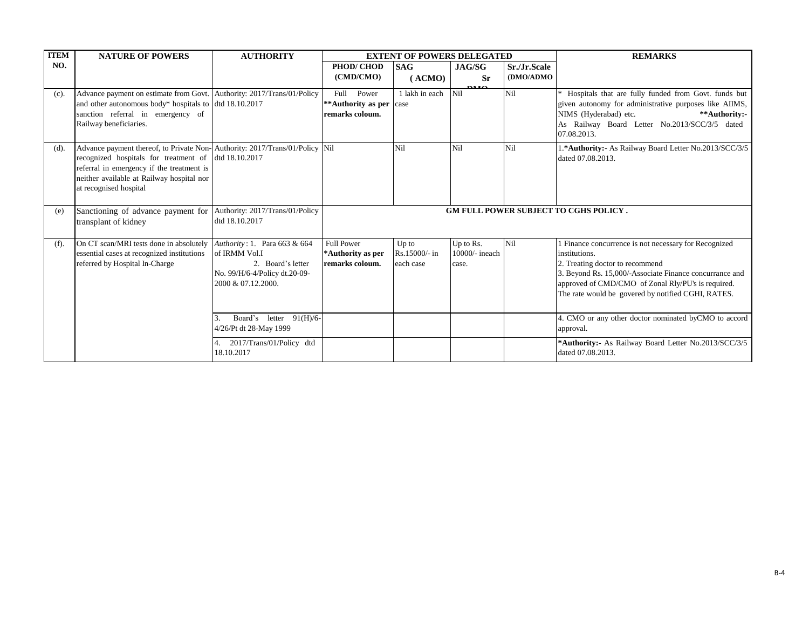| <b>ITEM</b> | <b>NATURE OF POWERS</b>                                                                                                                                                                                                                                 | <b>AUTHORITY</b>                                                                                                          |                                                             | <b>EXTENT OF POWERS DELEGATED</b>   |                                      |              | <b>REMARKS</b>                                                                                                                                                                                                                                                                   |
|-------------|---------------------------------------------------------------------------------------------------------------------------------------------------------------------------------------------------------------------------------------------------------|---------------------------------------------------------------------------------------------------------------------------|-------------------------------------------------------------|-------------------------------------|--------------------------------------|--------------|----------------------------------------------------------------------------------------------------------------------------------------------------------------------------------------------------------------------------------------------------------------------------------|
| NO.         |                                                                                                                                                                                                                                                         |                                                                                                                           | PHOD/CHOD                                                   | <b>SAG</b>                          | JAG/SG                               | Sr./Jr.Scale |                                                                                                                                                                                                                                                                                  |
|             |                                                                                                                                                                                                                                                         |                                                                                                                           | (CMD/CMO)                                                   | (ACMO)                              | <b>Sr</b>                            | (DMO/ADMO    |                                                                                                                                                                                                                                                                                  |
| $(c)$ .     | Advance payment on estimate from Govt. Authority: 2017/Trans/01/Policy<br>and other autonomous body* hospitals to dtd 18.10.2017<br>sanction referral in emergency of<br>Railway beneficiaries.                                                         |                                                                                                                           | Full<br>Power<br>**Authority as per case<br>remarks coloum. | 1 lakh in each                      | $\mathbf{D}^{\mathbf{M}}$<br>Nil     | Nil          | Hospitals that are fully funded from Govt. funds but<br>given autonomy for administrative purposes like AIIMS,<br>NIMS (Hyderabad) etc.<br>**Authority:-<br>As Railway Board Letter No.2013/SCC/3/5 dated<br>07.08.2013.                                                         |
| $(d)$ .     | Advance payment thereof, to Private Non-Authority: 2017/Trans/01/Policy Nil<br>recognized hospitals for treatment of dtd 18.10.2017<br>referral in emergency if the treatment is<br>neither available at Railway hospital nor<br>at recognised hospital |                                                                                                                           |                                                             | Nil                                 | Nil                                  | Nil          | 1.* Authority: - As Railway Board Letter No.2013/SCC/3/5<br>dated 07.08.2013.                                                                                                                                                                                                    |
| (e)         | Sanctioning of advance payment for Authority: 2017/Trans/01/Policy<br>transplant of kidney                                                                                                                                                              | dtd 18.10.2017                                                                                                            |                                                             |                                     |                                      |              | <b>GM FULL POWER SUBJECT TO CGHS POLICY.</b>                                                                                                                                                                                                                                     |
| (f).        | On CT scan/MRI tests done in absolutely<br>essential cases at recognized institutions<br>referred by Hospital In-Charge                                                                                                                                 | Authority: 1. Para 663 & 664<br>of IRMM Vol.I<br>2. Board's letter<br>No. 99/H/6-4/Policy dt.20-09-<br>2000 & 07.12.2000. | <b>Full Power</b><br>*Authority as per<br>remarks coloum.   | Up to<br>Rs.15000/- in<br>each case | Up to Rs.<br>10000/- ineach<br>case. | Nil          | 1 Finance concurrence is not necessary for Recognized<br>institutions.<br>2. Treating doctor to recommend<br>3. Beyond Rs. 15,000/-Associate Finance concurrance and<br>approved of CMD/CMO of Zonal Rly/PU's is required.<br>The rate would be govered by notified CGHI, RATES. |
|             |                                                                                                                                                                                                                                                         | Board's<br>letter $91(H)/6$<br>3.<br>4/26/Pt dt 28-May 1999                                                               |                                                             |                                     |                                      |              | 4. CMO or any other doctor nominated byCMO to accord<br>approval.                                                                                                                                                                                                                |
|             |                                                                                                                                                                                                                                                         | 2017/Trans/01/Policy dtd<br>18.10.2017                                                                                    |                                                             |                                     |                                      |              | *Authority:- As Railway Board Letter No.2013/SCC/3/5<br>dated 07.08.2013.                                                                                                                                                                                                        |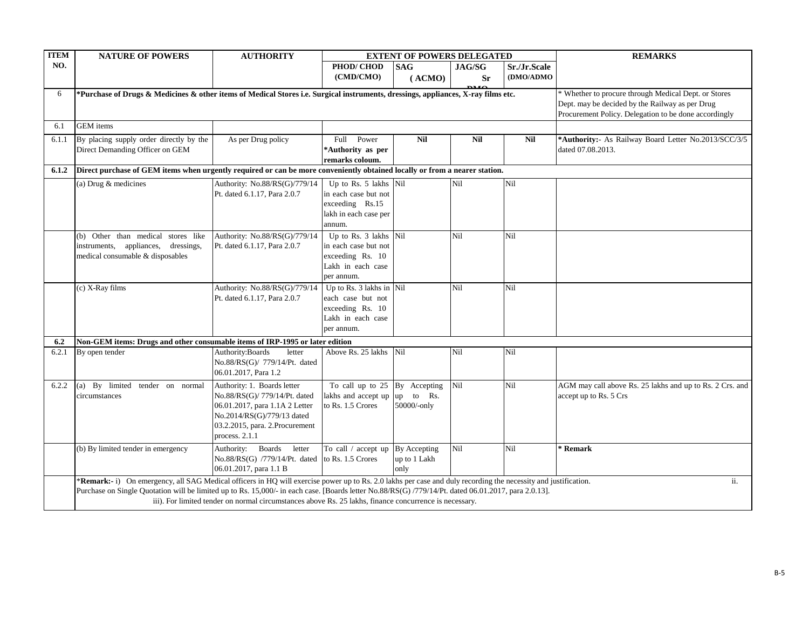| <b>ITEM</b> | <b>NATURE OF POWERS</b>                                                                                                                                                                                                                                                                                                                                                                                                                 | <b>AUTHORITY</b>                                                                                                                                                                   |                                                                                                      | <b>EXTENT OF POWERS DELEGATED</b>           |                            |                           | <b>REMARKS</b>                                                                                                                                                   |  |  |  |
|-------------|-----------------------------------------------------------------------------------------------------------------------------------------------------------------------------------------------------------------------------------------------------------------------------------------------------------------------------------------------------------------------------------------------------------------------------------------|------------------------------------------------------------------------------------------------------------------------------------------------------------------------------------|------------------------------------------------------------------------------------------------------|---------------------------------------------|----------------------------|---------------------------|------------------------------------------------------------------------------------------------------------------------------------------------------------------|--|--|--|
| NO.         |                                                                                                                                                                                                                                                                                                                                                                                                                                         |                                                                                                                                                                                    | PHOD/CHOD<br>(CMD/CMO)                                                                               | <b>SAG</b><br>(ACMO)                        | <b>JAG/SG</b><br><b>Sr</b> | Sr./Jr.Scale<br>(DMO/ADMO |                                                                                                                                                                  |  |  |  |
| 6           | *Purchase of Drugs & Medicines & other items of Medical Stores i.e. Surgical instruments, dressings, appliances, X-ray films etc.                                                                                                                                                                                                                                                                                                       |                                                                                                                                                                                    |                                                                                                      |                                             |                            |                           | * Whether to procure through Medical Dept. or Stores<br>Dept. may be decided by the Railway as per Drug<br>Procurement Policy. Delegation to be done accordingly |  |  |  |
| 6.1         | <b>GEM</b> items                                                                                                                                                                                                                                                                                                                                                                                                                        |                                                                                                                                                                                    |                                                                                                      |                                             |                            |                           |                                                                                                                                                                  |  |  |  |
| 6.1.1       | By placing supply order directly by the<br>Direct Demanding Officer on GEM                                                                                                                                                                                                                                                                                                                                                              | As per Drug policy                                                                                                                                                                 | Full Power<br>*Authority as per<br>remarks coloum.                                                   | <b>Nil</b>                                  | Nil                        | <b>Nil</b>                | *Authority:- As Railway Board Letter No.2013/SCC/3/5<br>dated 07.08.2013.                                                                                        |  |  |  |
| 6.1.2       | Direct purchase of GEM items when urgently required or can be more conveniently obtained locally or from a nearer station.                                                                                                                                                                                                                                                                                                              |                                                                                                                                                                                    |                                                                                                      |                                             |                            |                           |                                                                                                                                                                  |  |  |  |
|             | (a) Drug $&$ medicines                                                                                                                                                                                                                                                                                                                                                                                                                  | Authority: No.88/RS(G)/779/14<br>Pt. dated 6.1.17, Para 2.0.7                                                                                                                      | Up to Rs. 5 lakhs Nil<br>in each case but not<br>exceeding Rs.15<br>lakh in each case per<br>annum.  |                                             | Nil                        | Nil                       |                                                                                                                                                                  |  |  |  |
|             | (b) Other than medical stores like<br>instruments, appliances, dressings,<br>medical consumable & disposables                                                                                                                                                                                                                                                                                                                           | Authority: No.88/RS(G)/779/14<br>Pt. dated 6.1.17, Para 2.0.7                                                                                                                      | Up to Rs. 3 lakhs Nil<br>in each case but not<br>exceeding Rs. 10<br>Lakh in each case<br>per annum. |                                             | Nil                        | Nil                       |                                                                                                                                                                  |  |  |  |
|             | (c) X-Ray films                                                                                                                                                                                                                                                                                                                                                                                                                         | Authority: No.88/RS(G)/779/14<br>Pt. dated 6.1.17, Para 2.0.7                                                                                                                      | Up to Rs. 3 lakhs in Nil<br>each case but not<br>exceeding Rs. 10<br>Lakh in each case<br>per annum. |                                             | Nil                        | Nil                       |                                                                                                                                                                  |  |  |  |
| 6.2         | Non-GEM items: Drugs and other consumable items of IRP-1995 or later edition                                                                                                                                                                                                                                                                                                                                                            |                                                                                                                                                                                    |                                                                                                      |                                             |                            |                           |                                                                                                                                                                  |  |  |  |
| 6.2.1       | By open tender                                                                                                                                                                                                                                                                                                                                                                                                                          | Authority: Boards<br>letter<br>No.88/RS(G)/ 779/14/Pt. dated<br>06.01.2017, Para 1.2                                                                                               | Above Rs. 25 lakhs                                                                                   | Nil                                         | Nil                        | Nil                       |                                                                                                                                                                  |  |  |  |
| 6.2.2       | (a) By limited tender on normal<br>circumstances                                                                                                                                                                                                                                                                                                                                                                                        | Authority: 1. Boards letter<br>No.88/RS(G)/ 779/14/Pt. dated<br>06.01.2017, para 1.1A 2 Letter<br>No.2014/RS(G)/779/13 dated<br>03.2.2015, para. 2.Procurement<br>process. $2.1.1$ | To call up to $25$ By Accepting<br>lakhs and accept up<br>to Rs. 1.5 Crores                          | up to Rs.<br>50000/-only                    | Nil                        | Nil                       | AGM may call above Rs. 25 lakhs and up to Rs. 2 Crs. and<br>accept up to Rs. 5 Crs                                                                               |  |  |  |
|             | (b) By limited tender in emergency                                                                                                                                                                                                                                                                                                                                                                                                      | Authority: Boards letter<br>No.88/RS(G) /779/14/Pt. dated to Rs. 1.5 Crores<br>06.01.2017, para 1.1 B                                                                              | To call / accept up                                                                                  | <b>By Accepting</b><br>up to 1 Lakh<br>only | Nil                        | Nil                       | <b>Remark</b>                                                                                                                                                    |  |  |  |
|             | *Remark:- i) On emergency, all SAG Medical officers in HQ will exercise power up to Rs. 2.0 lakhs per case and duly recording the necessity and justification.<br>ii.<br>Purchase on Single Quotation will be limited up to Rs. 15,000/- in each case. [Boards letter No.88/RS(G) /779/14/Pt. dated 06.01.2017, para 2.0.13].<br>iii). For limited tender on normal circumstances above Rs. 25 lakhs, finance concurrence is necessary. |                                                                                                                                                                                    |                                                                                                      |                                             |                            |                           |                                                                                                                                                                  |  |  |  |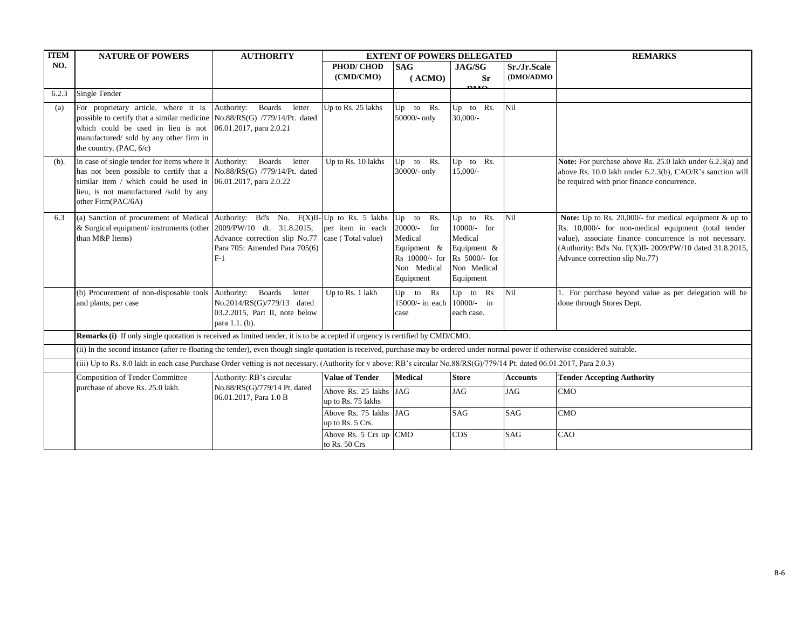| <b>ITEM</b> | <b>NATURE OF POWERS</b>                                                                                                                                                                                                                                                      | <b>AUTHORITY</b>                                                                                          |                                                             | <b>EXTENT OF POWERS DELEGATED</b>                                                                          |                                                                                                 |                 | <b>REMARKS</b>                                                                                                                                                                                                                                                           |
|-------------|------------------------------------------------------------------------------------------------------------------------------------------------------------------------------------------------------------------------------------------------------------------------------|-----------------------------------------------------------------------------------------------------------|-------------------------------------------------------------|------------------------------------------------------------------------------------------------------------|-------------------------------------------------------------------------------------------------|-----------------|--------------------------------------------------------------------------------------------------------------------------------------------------------------------------------------------------------------------------------------------------------------------------|
| NO.         |                                                                                                                                                                                                                                                                              |                                                                                                           | PHOD/CHOD                                                   | <b>SAG</b>                                                                                                 | JAG/SG                                                                                          | Sr./Jr.Scale    |                                                                                                                                                                                                                                                                          |
|             |                                                                                                                                                                                                                                                                              |                                                                                                           | (CMD/CMO)                                                   | (ACMO)                                                                                                     | <b>Sr</b><br><b>DMO</b>                                                                         | (DMO/ADMO       |                                                                                                                                                                                                                                                                          |
| 6.2.3       | Single Tender                                                                                                                                                                                                                                                                |                                                                                                           |                                                             |                                                                                                            |                                                                                                 |                 |                                                                                                                                                                                                                                                                          |
| (a)         | For proprietary article, where it is<br>possible to certify that a similar medicine No.88/RS(G) /779/14/Pt. dated<br>which could be used in lieu is not $[06.01.2017, \text{para } 2.0.21]$<br>manufactured/ sold by any other firm in<br>the country. (PAC, 6/c)            | Authority:<br><b>Boards</b><br>letter                                                                     | Up to Rs. 25 lakhs                                          | Up to Rs.<br>50000/- only                                                                                  | Rs.<br>$Up$ to<br>$30,000/$ -                                                                   | Nil             |                                                                                                                                                                                                                                                                          |
| $(b)$ .     | In case of single tender for items where it Authority:<br>has not been possible to certify that a No.88/RS(G) /779/14/Pt. dated<br>similar item / which could be used in $[06.01.2017, \text{para } 2.0.22]$<br>lieu, is not manufactured /sold by any<br>other Firm(PAC/6A) | <b>Boards</b><br>letter                                                                                   | Up to Rs. 10 lakhs                                          | Up to Rs.<br>30000/- only                                                                                  | Up to Rs.<br>15,000/-                                                                           |                 | Note: For purchase above Rs. 25.0 lakh under 6.2.3(a) and<br>above Rs. 10.0 lakh under 6.2.3(b), CAO/R's sanction will<br>be required with prior finance concurrence.                                                                                                    |
| 6.3         | (a) Sanction of procurement of Medical Authority: Bd's No. F(X)II- Up to Rs. 5 lakhs<br>& Surgical equipment/ instruments (other 2009/PW/10 dt. 31.8.2015,<br>than M&P Items)                                                                                                | Advance correction slip No.77<br>Para 705: Amended Para 705(6)<br>$F-1$                                   | per item in each<br>case (Total value)                      | $Up$ to<br>Rs.<br>$20000/-$<br>for<br>Medical<br>Equipment &<br>Rs 10000/- for<br>Non Medical<br>Equipment | Up to Rs.<br>10000/- for<br>Medical<br>Equipment &<br>Rs 5000/- for<br>Non Medical<br>Equipment | Nil             | Note: Up to Rs. 20,000/- for medical equipment $&$ up to<br>Rs. 10,000/- for non-medical equipment (total tender<br>value), associate finance concurrence is not necessary.<br>(Authority: Bd's No. F(X)II-2009/PW/10 dated 31.8.2015,<br>Advance correction slip No.77) |
|             | (b) Procurement of non-disposable tools Authority:<br>and plants, per case                                                                                                                                                                                                   | <b>Boards</b><br>letter<br>No.2014/RS(G)/779/13 dated<br>03.2.2015, Part II, note below<br>para 1.1. (b). | Up to Rs. 1 lakh                                            | $Up$ to $Rs$<br>$15000/-$ in each<br>case                                                                  | Up to Rs<br>$10000/-$ in<br>each case.                                                          | Nil             | 1. For purchase beyond value as per delegation will be<br>done through Stores Dept.                                                                                                                                                                                      |
|             | Remarks (i) If only single quotation is received as limited tender, it is to be accepted if urgency is certified by CMD/CMO.                                                                                                                                                 |                                                                                                           |                                                             |                                                                                                            |                                                                                                 |                 |                                                                                                                                                                                                                                                                          |
|             | (ii) In the second instance (after re-floating the tender), even though single quotation is received, purchase may be ordered under normal power if otherwise considered suitable.                                                                                           |                                                                                                           |                                                             |                                                                                                            |                                                                                                 |                 |                                                                                                                                                                                                                                                                          |
|             | (iii) Up to Rs. 8.0 lakh in each case Purchase Order vetting is not necessary. (Authority for v above: RB's circular No.88/RS(G)/779/14 Pt. dated 06.01.2017, Para 2.0.3)                                                                                                    |                                                                                                           |                                                             |                                                                                                            |                                                                                                 |                 |                                                                                                                                                                                                                                                                          |
|             | <b>Composition of Tender Committee</b>                                                                                                                                                                                                                                       | Authority: RB's circular                                                                                  | <b>Value of Tender</b>                                      | <b>Medical</b>                                                                                             | <b>Store</b>                                                                                    | <b>Accounts</b> | <b>Tender Accepting Authority</b>                                                                                                                                                                                                                                        |
|             | purchase of above Rs. 25.0 lakh.                                                                                                                                                                                                                                             | No.88/RS(G)/779/14 Pt. dated<br>06.01.2017, Para 1.0 B                                                    | Above Rs. 25 lakhs JAG<br>up to Rs. 75 lakhs                |                                                                                                            | <b>JAG</b>                                                                                      | <b>JAG</b>      | <b>CMO</b>                                                                                                                                                                                                                                                               |
|             |                                                                                                                                                                                                                                                                              |                                                                                                           | Above Rs. 75 lakhs JAG<br>up to Rs. 5 Crs.                  |                                                                                                            | <b>SAG</b>                                                                                      | <b>SAG</b>      | <b>CMO</b>                                                                                                                                                                                                                                                               |
|             |                                                                                                                                                                                                                                                                              |                                                                                                           | Above Rs. $5 \text{ Crs up }   \text{CMO}$<br>to Rs. 50 Crs |                                                                                                            | $\cos$                                                                                          | SAG             | CAO                                                                                                                                                                                                                                                                      |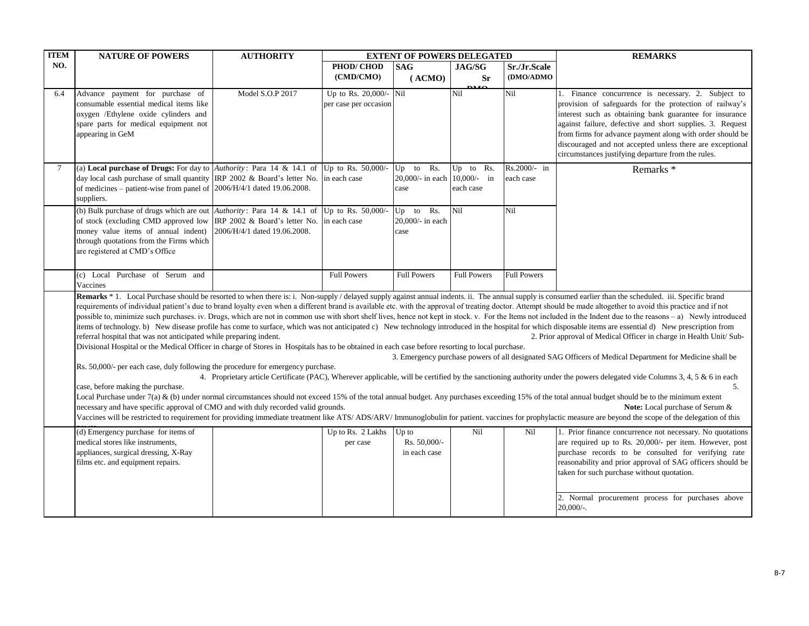| <b>ITEM</b> | <b>NATURE OF POWERS</b>                                                                                                                                                                                                                                                                                                                                                                                                                                                    | <b>AUTHORITY</b>                                              |                                                 | <b>EXTENT OF POWERS DELEGATED</b>                      |                                  |                           | <b>REMARKS</b>                                                                                                                                                                                                                                                                                                                                                                                                                                                                                                                                                                                                                                                                                                                                                                                                                                                                                                                                                                                                                                                                                                                                                                                                                                                                                                                                                                                                                                                                                                                                                                                                                                                                                                                                                      |
|-------------|----------------------------------------------------------------------------------------------------------------------------------------------------------------------------------------------------------------------------------------------------------------------------------------------------------------------------------------------------------------------------------------------------------------------------------------------------------------------------|---------------------------------------------------------------|-------------------------------------------------|--------------------------------------------------------|----------------------------------|---------------------------|---------------------------------------------------------------------------------------------------------------------------------------------------------------------------------------------------------------------------------------------------------------------------------------------------------------------------------------------------------------------------------------------------------------------------------------------------------------------------------------------------------------------------------------------------------------------------------------------------------------------------------------------------------------------------------------------------------------------------------------------------------------------------------------------------------------------------------------------------------------------------------------------------------------------------------------------------------------------------------------------------------------------------------------------------------------------------------------------------------------------------------------------------------------------------------------------------------------------------------------------------------------------------------------------------------------------------------------------------------------------------------------------------------------------------------------------------------------------------------------------------------------------------------------------------------------------------------------------------------------------------------------------------------------------------------------------------------------------------------------------------------------------|
| NO.         |                                                                                                                                                                                                                                                                                                                                                                                                                                                                            |                                                               | PHOD/CHOD                                       | <b>SAG</b>                                             | JAG/SG                           | Sr./Jr.Scale              |                                                                                                                                                                                                                                                                                                                                                                                                                                                                                                                                                                                                                                                                                                                                                                                                                                                                                                                                                                                                                                                                                                                                                                                                                                                                                                                                                                                                                                                                                                                                                                                                                                                                                                                                                                     |
|             |                                                                                                                                                                                                                                                                                                                                                                                                                                                                            |                                                               | (CMD/CMO)                                       | (ACMO)                                                 | <b>Sr</b>                        | (DMO/ADMO                 |                                                                                                                                                                                                                                                                                                                                                                                                                                                                                                                                                                                                                                                                                                                                                                                                                                                                                                                                                                                                                                                                                                                                                                                                                                                                                                                                                                                                                                                                                                                                                                                                                                                                                                                                                                     |
| 6.4         | Advance payment for purchase of<br>consumable essential medical items like<br>oxygen /Ethylene oxide cylinders and<br>spare parts for medical equipment not<br>appearing in GeM                                                                                                                                                                                                                                                                                            | Model S.O.P 2017                                              | Up to Rs. 20,000/- Nil<br>per case per occasion |                                                        | $\mathbf{D}^{\mathbf{M}}$<br>Nil | Nil                       | 1. Finance concurrence is necessary. 2. Subject to<br>provision of safeguards for the protection of railway's<br>interest such as obtaining bank guarantee for insurance<br>against failure, defective and short supplies. 3. Request<br>from firms for advance payment along with order should be<br>discouraged and not accepted unless there are exceptional<br>circumstances justifying departure from the rules.                                                                                                                                                                                                                                                                                                                                                                                                                                                                                                                                                                                                                                                                                                                                                                                                                                                                                                                                                                                                                                                                                                                                                                                                                                                                                                                                               |
| $\tau$      | (a) Local purchase of Drugs: For day to $\left  \text{Authority:} \right.$ Para 14 & 14.1 of<br>day local cash purchase of small quantity IRP 2002 & Board's letter No.<br>of medicines – patient-wise from panel of $\left  \frac{2006}{H}{\right }^{4/1}$ dated 19.06.2008.<br>suppliers.                                                                                                                                                                                |                                                               | Up to Rs. 50,000/-<br>in each case              | Rs.<br>$Up$ to<br>20,000/- in each 10,000/- in<br>case | Rs.<br>$Up$ to<br>each case      | Rs.2000/- in<br>each case | Remarks <sup>*</sup>                                                                                                                                                                                                                                                                                                                                                                                                                                                                                                                                                                                                                                                                                                                                                                                                                                                                                                                                                                                                                                                                                                                                                                                                                                                                                                                                                                                                                                                                                                                                                                                                                                                                                                                                                |
|             | (b) Bulk purchase of drugs which are out $\Delta$ uthority: Para 14 & 14.1 of<br>of stock (excluding CMD approved low<br>money value items of annual indent)<br>through quotations from the Firms which<br>are registered at CMD's Office                                                                                                                                                                                                                                  | IRP 2002 & Board's letter No.<br>2006/H/4/1 dated 19.06.2008. | Up to Rs. 50,000/-<br>in each case              | Rs.<br>$Up$ to<br>20,000/- in each<br>case             | Nil                              | Nil                       |                                                                                                                                                                                                                                                                                                                                                                                                                                                                                                                                                                                                                                                                                                                                                                                                                                                                                                                                                                                                                                                                                                                                                                                                                                                                                                                                                                                                                                                                                                                                                                                                                                                                                                                                                                     |
|             | (c) Local Purchase of Serum and<br>Vaccines                                                                                                                                                                                                                                                                                                                                                                                                                                |                                                               | <b>Full Powers</b>                              | <b>Full Powers</b>                                     | <b>Full Powers</b>               | <b>Full Powers</b>        |                                                                                                                                                                                                                                                                                                                                                                                                                                                                                                                                                                                                                                                                                                                                                                                                                                                                                                                                                                                                                                                                                                                                                                                                                                                                                                                                                                                                                                                                                                                                                                                                                                                                                                                                                                     |
|             | referral hospital that was not anticipated while preparing indent.<br>Divisional Hospital or the Medical Officer in charge of Stores in Hospitals has to be obtained in each case before resorting to local purchase.<br>Rs. 50,000/- per each case, duly following the procedure for emergency purchase.<br>case, before making the purchase.<br>necessary and have specific approval of CMO and with duly recorded valid grounds.<br>(d) Emergency purchase for items of |                                                               | Up to Rs. 2 Lakhs                               | Up to                                                  | Nil                              | Nil                       | Remarks * 1. Local Purchase should be resorted to when there is: i. Non-supply / delayed supply against annual indents. ii. The annual supply is consumed earlier than the scheduled. iii. Specific brand<br>requirements of individual patient's due to brand lovalty even when a different brand is available etc. with the approval of treating doctor. Attempt should be made altogether to avoid this practice and if not<br>possible to, minimize such purchases. iv. Drugs, which are not in common use with short shelf lives, hence not kept in stock. v. For the Items not included in the Indent due to the reasons - a) Newly introduced<br>items of technology. b) New disease profile has come to surface, which was not anticipated c) New technology introduced in the hospital for which disposable items are essential d) New prescription from<br>2. Prior approval of Medical Officer in charge in Health Unit/ Sub-<br>3. Emergency purchase powers of all designated SAG Officers of Medical Department for Medicine shall be<br>4. Proprietary article Certificate (PAC), Wherever applicable, will be certified by the sanctioning authority under the powers delegated vide Columns 3, 4, 5 & 6 in each<br>5.<br>Local Purchase under 7(a) & (b) under normal circumstances should not exceed 15% of the total annual budget. Any purchases exceeding 15% of the total annual budget should be to the minimum extent<br><b>Note:</b> Local purchase of Serum &<br>Vaccines will be restricted to requirement for providing immediate treatment like ATS/ADS/ARV/ Immunoglobulin for patient. vaccines for prophylactic measure are beyond the scope of the delegation of this<br>1. Prior finance concurrence not necessary. No quotations |
|             | medical stores like instruments,<br>appliances, surgical dressing, X-Ray<br>films etc. and equipment repairs.                                                                                                                                                                                                                                                                                                                                                              |                                                               | per case                                        | Rs. 50,000/-<br>in each case                           |                                  |                           | are required up to Rs. 20,000/- per item. However, post<br>purchase records to be consulted for verifying rate<br>reasonability and prior approval of SAG officers should be<br>taken for such purchase without quotation.<br>2. Normal procurement process for purchases above<br>$20,000/$ -.                                                                                                                                                                                                                                                                                                                                                                                                                                                                                                                                                                                                                                                                                                                                                                                                                                                                                                                                                                                                                                                                                                                                                                                                                                                                                                                                                                                                                                                                     |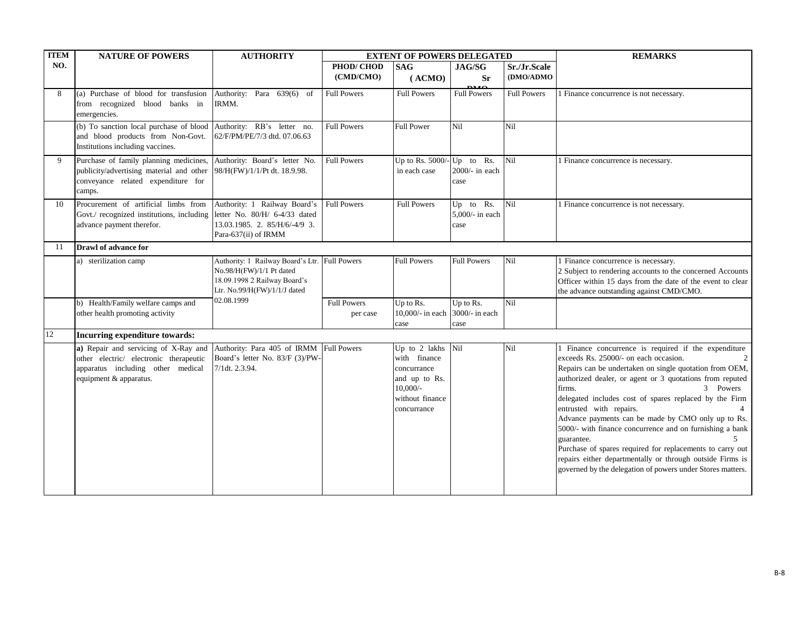| <b>ITEM</b> | <b>NATURE OF POWERS</b>                                                                                                                                                                       | <b>AUTHORITY</b>                                                                                                                          |                                | <b>EXTENT OF POWERS DELEGATED</b>                                                                                 |                                                |                           | <b>REMARKS</b>                                                                                                                                                                                                                                                                                                                                                                                                                                                                                                                                                                                                                                                       |
|-------------|-----------------------------------------------------------------------------------------------------------------------------------------------------------------------------------------------|-------------------------------------------------------------------------------------------------------------------------------------------|--------------------------------|-------------------------------------------------------------------------------------------------------------------|------------------------------------------------|---------------------------|----------------------------------------------------------------------------------------------------------------------------------------------------------------------------------------------------------------------------------------------------------------------------------------------------------------------------------------------------------------------------------------------------------------------------------------------------------------------------------------------------------------------------------------------------------------------------------------------------------------------------------------------------------------------|
| NO.         |                                                                                                                                                                                               |                                                                                                                                           | PHOD/CHOD<br>(CMD/CMO)         | <b>SAG</b><br>(ACMO)                                                                                              | JAG/SG<br><b>Sr</b><br>$\mathbf{D} \mathbf{M}$ | Sr./Jr.Scale<br>(DMO/ADMO |                                                                                                                                                                                                                                                                                                                                                                                                                                                                                                                                                                                                                                                                      |
| 8           | (a) Purchase of blood for transfusion<br>from recognized blood banks in<br>emergencies.                                                                                                       | Authority: Para 639(6) of<br>IRMM.                                                                                                        | <b>Full Powers</b>             | <b>Full Powers</b>                                                                                                | <b>Full Powers</b>                             | <b>Full Powers</b>        | Finance concurrence is not necessary.                                                                                                                                                                                                                                                                                                                                                                                                                                                                                                                                                                                                                                |
|             | (b) To sanction local purchase of blood Authority: RB's letter no.<br>and blood products from Non-Govt.<br>Institutions including vaccines.                                                   | 62/F/PM/PE/7/3 dtd. 07.06.63                                                                                                              | <b>Full Powers</b>             | <b>Full Power</b>                                                                                                 | Nil                                            | Nil                       |                                                                                                                                                                                                                                                                                                                                                                                                                                                                                                                                                                                                                                                                      |
| 9           | Purchase of family planning medicines, Authority: Board's letter No.<br>publicity/advertising material and other 98/H(FW)/1/1/Pt dt. 18.9.98.<br>conveyance related expenditure for<br>camps. |                                                                                                                                           | <b>Full Powers</b>             | Up to Rs. $5000/-$ Up to Rs.<br>in each case                                                                      | $2000/-$ in each<br>case                       | Nil                       | 1 Finance concurrence is necessary.                                                                                                                                                                                                                                                                                                                                                                                                                                                                                                                                                                                                                                  |
| 10          | Procurement of artificial limbs from<br>Govt./ recognized institutions, including letter No. 80/H/ 6-4/33 dated<br>advance payment therefor.                                                  | Authority: 1 Railway Board's<br>13.03.1985. 2. 85/H/6/-4/9 3.<br>Para-637(ii) of IRMM                                                     | <b>Full Powers</b>             | <b>Full Powers</b>                                                                                                | Up to Rs.<br>5,000/- in each<br>case           | Nil                       | 1 Finance concurrence is not necessary.                                                                                                                                                                                                                                                                                                                                                                                                                                                                                                                                                                                                                              |
| -11         | Drawl of advance for                                                                                                                                                                          |                                                                                                                                           |                                |                                                                                                                   |                                                |                           |                                                                                                                                                                                                                                                                                                                                                                                                                                                                                                                                                                                                                                                                      |
|             | a) sterilization camp                                                                                                                                                                         | Authority: 1 Railway Board's Ltr. Full Powers<br>No.98/H(FW)/1/1 Pt dated<br>18.09.1998 2 Railway Board's<br>Ltr. No.99/H(FW)/1/1/J dated |                                | <b>Full Powers</b>                                                                                                | <b>Full Powers</b>                             | Nil                       | 1 Finance concurrence is necessary.<br>2 Subject to rendering accounts to the concerned Accounts<br>Officer within 15 days from the date of the event to clear<br>the advance outstanding against CMD/CMO.                                                                                                                                                                                                                                                                                                                                                                                                                                                           |
|             | b) Health/Family welfare camps and<br>other health promoting activity                                                                                                                         | 02.08.1999                                                                                                                                | <b>Full Powers</b><br>per case | Up to Rs.<br>10,000/- in each<br>case                                                                             | Up to Rs.<br>3000/- in each<br>case            | Nil                       |                                                                                                                                                                                                                                                                                                                                                                                                                                                                                                                                                                                                                                                                      |
| 12          | Incurring expenditure towards:                                                                                                                                                                |                                                                                                                                           |                                |                                                                                                                   |                                                |                           |                                                                                                                                                                                                                                                                                                                                                                                                                                                                                                                                                                                                                                                                      |
|             | a) Repair and servicing of X-Ray and Authority: Para 405 of IRMM<br>other electric/ electronic therapeutic<br>apparatus including other medical<br>equipment & apparatus.                     | Board's letter No. 83/F (3)/PW-<br>7/1dt. 2.3.94.                                                                                         | <b>Full Powers</b>             | Up to 2 lakhs Nil<br>with finance<br>concurrance<br>and up to Rs.<br>$10,000/-$<br>without finance<br>concurrance |                                                | Nil                       | Finance concurrence is required if the expenditure<br>exceeds Rs. 25000/- on each occasion.<br>Repairs can be undertaken on single quotation from OEM,<br>authorized dealer, or agent or 3 quotations from reputed<br>3 Powers<br>firms.<br>delegated includes cost of spares replaced by the Firm<br>entrusted with repairs.<br>Advance payments can be made by CMO only up to Rs.<br>5000/- with finance concurrence and on furnishing a bank<br>$5^{\circ}$<br>guarantee.<br>Purchase of spares required for replacements to carry out<br>repairs either departmentally or through outside Firms is<br>governed by the delegation of powers under Stores matters. |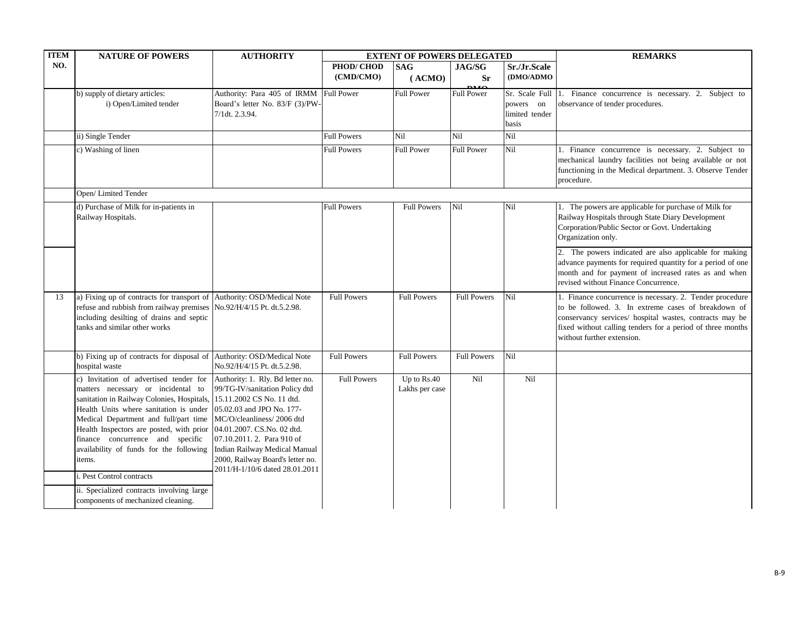| <b>ITEM</b> | <b>NATURE OF POWERS</b>                                                                                                                                                                                                                                                                                                                                                                                                                                                                                                 | <b>AUTHORITY</b>                                                                                                                                                                                                                                                  |                    | <b>EXTENT OF POWERS DELEGATED</b> |                                             |                         | <b>REMARKS</b>                                                                                                                                                                                                                                                         |
|-------------|-------------------------------------------------------------------------------------------------------------------------------------------------------------------------------------------------------------------------------------------------------------------------------------------------------------------------------------------------------------------------------------------------------------------------------------------------------------------------------------------------------------------------|-------------------------------------------------------------------------------------------------------------------------------------------------------------------------------------------------------------------------------------------------------------------|--------------------|-----------------------------------|---------------------------------------------|-------------------------|------------------------------------------------------------------------------------------------------------------------------------------------------------------------------------------------------------------------------------------------------------------------|
| NO.         |                                                                                                                                                                                                                                                                                                                                                                                                                                                                                                                         |                                                                                                                                                                                                                                                                   | PHOD/CHOD          | <b>SAG</b>                        | <b>JAG/SG</b>                               | Sr./Jr.Scale            |                                                                                                                                                                                                                                                                        |
|             |                                                                                                                                                                                                                                                                                                                                                                                                                                                                                                                         |                                                                                                                                                                                                                                                                   | (CMD/CMO)          | (ACMO)                            | <b>Sr</b><br>$\mathbf{D} \mathbf{M} \Omega$ | (DMO/ADMO               |                                                                                                                                                                                                                                                                        |
|             | b) supply of dietary articles:                                                                                                                                                                                                                                                                                                                                                                                                                                                                                          | Authority: Para 405 of IRMM                                                                                                                                                                                                                                       | Full Power         | <b>Full Power</b>                 | <b>Full Power</b>                           | Sr. Scale Full          | 1. Finance concurrence is necessary. 2. Subject to                                                                                                                                                                                                                     |
|             | i) Open/Limited tender                                                                                                                                                                                                                                                                                                                                                                                                                                                                                                  | Board's letter No. 83/F (3)/PW                                                                                                                                                                                                                                    |                    |                                   |                                             | powers on               | observance of tender procedures.                                                                                                                                                                                                                                       |
|             |                                                                                                                                                                                                                                                                                                                                                                                                                                                                                                                         | 7/1dt. 2.3.94.                                                                                                                                                                                                                                                    |                    |                                   |                                             | limited tender<br>basis |                                                                                                                                                                                                                                                                        |
|             | ii) Single Tender                                                                                                                                                                                                                                                                                                                                                                                                                                                                                                       |                                                                                                                                                                                                                                                                   | <b>Full Powers</b> | Nil                               | Nil                                         | Nil                     |                                                                                                                                                                                                                                                                        |
|             | c) Washing of linen                                                                                                                                                                                                                                                                                                                                                                                                                                                                                                     |                                                                                                                                                                                                                                                                   | <b>Full Powers</b> | <b>Full Power</b>                 | <b>Full Power</b>                           | Nil                     | 1. Finance concurrence is necessary. 2. Subject to<br>mechanical laundry facilities not being available or not<br>functioning in the Medical department. 3. Observe Tender<br>procedure.                                                                               |
|             | Open/Limited Tender                                                                                                                                                                                                                                                                                                                                                                                                                                                                                                     |                                                                                                                                                                                                                                                                   |                    |                                   |                                             |                         |                                                                                                                                                                                                                                                                        |
|             | d) Purchase of Milk for in-patients in<br>Railway Hospitals.                                                                                                                                                                                                                                                                                                                                                                                                                                                            |                                                                                                                                                                                                                                                                   | <b>Full Powers</b> | <b>Full Powers</b>                | Nil                                         | Nil                     | 1. The powers are applicable for purchase of Milk for<br>Railway Hospitals through State Diary Development<br>Corporation/Public Sector or Govt. Undertaking<br>Organization only.                                                                                     |
|             |                                                                                                                                                                                                                                                                                                                                                                                                                                                                                                                         |                                                                                                                                                                                                                                                                   |                    |                                   |                                             |                         | 2. The powers indicated are also applicable for making<br>advance payments for required quantity for a period of one<br>month and for payment of increased rates as and when<br>revised without Finance Concurrence.                                                   |
| 13          | a) Fixing up of contracts for transport of Authority: OSD/Medical Note<br>refuse and rubbish from railway premises No.92/H/4/15 Pt. dt.5.2.98.<br>including desilting of drains and septic<br>tanks and similar other works                                                                                                                                                                                                                                                                                             |                                                                                                                                                                                                                                                                   | <b>Full Powers</b> | <b>Full Powers</b>                | <b>Full Powers</b>                          | Nil                     | 1. Finance concurrence is necessary. 2. Tender procedure<br>to be followed. 3. In extreme cases of breakdown of<br>conservancy services/ hospital wastes, contracts may be<br>fixed without calling tenders for a period of three months<br>without further extension. |
|             | b) Fixing up of contracts for disposal of Authority: OSD/Medical Note<br>hospital waste                                                                                                                                                                                                                                                                                                                                                                                                                                 | No.92/H/4/15 Pt. dt.5.2.98.                                                                                                                                                                                                                                       | <b>Full Powers</b> | <b>Full Powers</b>                | <b>Full Powers</b>                          | Nil                     |                                                                                                                                                                                                                                                                        |
|             | c) Invitation of advertised tender for<br>matters necessary or incidental to<br>sanitation in Railway Colonies, Hospitals, 15.11.2002 CS No. 11 dtd.<br>Health Units where sanitation is under<br>Medical Department and full/part time<br>Health Inspectors are posted, with prior  04.01.2007. CS.No. 02 dtd.<br>finance concurrence and specific<br>availability of funds for the following<br>items.<br>. Pest Control contracts<br>ii. Specialized contracts involving large<br>components of mechanized cleaning. | Authority: 1. Rly. Bd letter no.<br>99/TG-IV/sanitation Policy dtd<br>05.02.03 and JPO No. 177-<br>MC/O/cleanliness/2006 dtd<br>07.10.2011. 2. Para 910 of<br>Indian Railway Medical Manual<br>2000, Railway Board's letter no.<br>2011/H-1/10/6 dated 28.01.2011 | <b>Full Powers</b> | Up to $Rs.40$<br>Lakhs per case   | Nil                                         | Nil                     |                                                                                                                                                                                                                                                                        |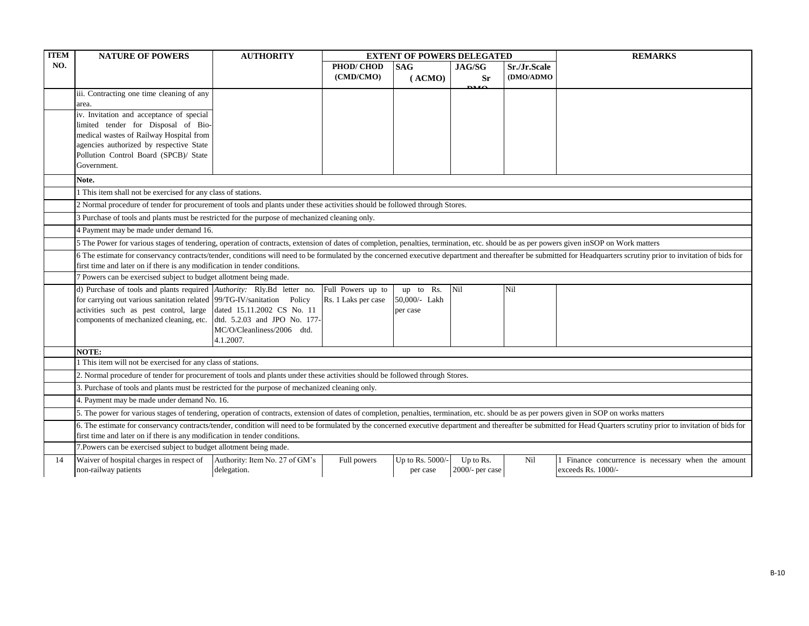| <b>ITEM</b> | <b>NATURE OF POWERS</b>                                                                                                                                                                                                                                                                          | <b>AUTHORITY</b>               |                                          | <b>EXTENT OF POWERS DELEGATED</b> |                          |              | <b>REMARKS</b>                                                                                                                                                                                                      |  |
|-------------|--------------------------------------------------------------------------------------------------------------------------------------------------------------------------------------------------------------------------------------------------------------------------------------------------|--------------------------------|------------------------------------------|-----------------------------------|--------------------------|--------------|---------------------------------------------------------------------------------------------------------------------------------------------------------------------------------------------------------------------|--|
| NO.         |                                                                                                                                                                                                                                                                                                  |                                | PHOD/CHOD                                | <b>SAG</b>                        | <b>JAG/SG</b>            | Sr./Jr.Scale |                                                                                                                                                                                                                     |  |
|             |                                                                                                                                                                                                                                                                                                  |                                | (CMD/CMO)                                | (ACMO)                            | <b>Sr</b><br><b>DILO</b> | (DMO/ADMO    |                                                                                                                                                                                                                     |  |
|             | iii. Contracting one time cleaning of any                                                                                                                                                                                                                                                        |                                |                                          |                                   |                          |              |                                                                                                                                                                                                                     |  |
|             | area.                                                                                                                                                                                                                                                                                            |                                |                                          |                                   |                          |              |                                                                                                                                                                                                                     |  |
|             | iv. Invitation and acceptance of special                                                                                                                                                                                                                                                         |                                |                                          |                                   |                          |              |                                                                                                                                                                                                                     |  |
|             | limited tender for Disposal of Bio-<br>medical wastes of Railway Hospital from                                                                                                                                                                                                                   |                                |                                          |                                   |                          |              |                                                                                                                                                                                                                     |  |
|             | agencies authorized by respective State                                                                                                                                                                                                                                                          |                                |                                          |                                   |                          |              |                                                                                                                                                                                                                     |  |
|             | Pollution Control Board (SPCB)/ State                                                                                                                                                                                                                                                            |                                |                                          |                                   |                          |              |                                                                                                                                                                                                                     |  |
|             | Government.                                                                                                                                                                                                                                                                                      |                                |                                          |                                   |                          |              |                                                                                                                                                                                                                     |  |
|             | Note.                                                                                                                                                                                                                                                                                            |                                |                                          |                                   |                          |              |                                                                                                                                                                                                                     |  |
|             | 1 This item shall not be exercised for any class of stations.                                                                                                                                                                                                                                    |                                |                                          |                                   |                          |              |                                                                                                                                                                                                                     |  |
|             | 2 Normal procedure of tender for procurement of tools and plants under these activities should be followed through Stores.                                                                                                                                                                       |                                |                                          |                                   |                          |              |                                                                                                                                                                                                                     |  |
|             | 3 Purchase of tools and plants must be restricted for the purpose of mechanized cleaning only.                                                                                                                                                                                                   |                                |                                          |                                   |                          |              |                                                                                                                                                                                                                     |  |
|             | 4 Payment may be made under demand 16.                                                                                                                                                                                                                                                           |                                |                                          |                                   |                          |              |                                                                                                                                                                                                                     |  |
|             | 5 The Power for various stages of tendering, operation of contracts, extension of dates of completion, penalties, termination, etc. should be as per powers given in SOP on Work matters                                                                                                         |                                |                                          |                                   |                          |              |                                                                                                                                                                                                                     |  |
|             | 6 The estimate for conservancy contracts/tender, conditions will need to be formulated by the concerned executive department and thereafter be submitted for Headquarters scrutiny prior to invitation of bids for<br>first time and later on if there is any modification in tender conditions. |                                |                                          |                                   |                          |              |                                                                                                                                                                                                                     |  |
|             | 7 Powers can be exercised subject to budget allotment being made.                                                                                                                                                                                                                                |                                |                                          |                                   |                          |              |                                                                                                                                                                                                                     |  |
|             |                                                                                                                                                                                                                                                                                                  |                                |                                          |                                   |                          |              |                                                                                                                                                                                                                     |  |
|             | d) Purchase of tools and plants required Authority: Rly.Bd letter no.<br>for carrying out various sanitation related 99/TG-IV/sanitation Policy                                                                                                                                                  |                                | Full Powers up to<br>Rs. 1 Laks per case | up to Rs.<br>50,000/- Lakh        | Nil                      | Nil          |                                                                                                                                                                                                                     |  |
|             | activities such as pest control, large dated 15.11.2002 CS No. 11                                                                                                                                                                                                                                |                                |                                          | per case                          |                          |              |                                                                                                                                                                                                                     |  |
|             | components of mechanized cleaning, etc. dtd. 5.2.03 and JPO No. 177-                                                                                                                                                                                                                             |                                |                                          |                                   |                          |              |                                                                                                                                                                                                                     |  |
|             |                                                                                                                                                                                                                                                                                                  | MC/O/Cleanliness/2006 dtd.     |                                          |                                   |                          |              |                                                                                                                                                                                                                     |  |
|             |                                                                                                                                                                                                                                                                                                  | 4.1.2007.                      |                                          |                                   |                          |              |                                                                                                                                                                                                                     |  |
|             | NOTE:                                                                                                                                                                                                                                                                                            |                                |                                          |                                   |                          |              |                                                                                                                                                                                                                     |  |
|             | 1 This item will not be exercised for any class of stations.                                                                                                                                                                                                                                     |                                |                                          |                                   |                          |              |                                                                                                                                                                                                                     |  |
|             | 2. Normal procedure of tender for procurement of tools and plants under these activities should be followed through Stores.                                                                                                                                                                      |                                |                                          |                                   |                          |              |                                                                                                                                                                                                                     |  |
|             | 3. Purchase of tools and plants must be restricted for the purpose of mechanized cleaning only.                                                                                                                                                                                                  |                                |                                          |                                   |                          |              |                                                                                                                                                                                                                     |  |
|             | 4. Payment may be made under demand No. 16.                                                                                                                                                                                                                                                      |                                |                                          |                                   |                          |              |                                                                                                                                                                                                                     |  |
|             | 5. The power for various stages of tendering, operation of contracts, extension of dates of completion, penalties, termination, etc. should be as per powers given in SOP on works matters                                                                                                       |                                |                                          |                                   |                          |              |                                                                                                                                                                                                                     |  |
|             | first time and later on if there is any modification in tender conditions.                                                                                                                                                                                                                       |                                |                                          |                                   |                          |              | 6. The estimate for conservancy contracts/tender, condition will need to be formulated by the concerned executive department and thereafter be submitted for Head Quarters scrutiny prior to invitation of bids for |  |
|             | 7. Powers can be exercised subject to budget allotment being made.                                                                                                                                                                                                                               |                                |                                          |                                   |                          |              |                                                                                                                                                                                                                     |  |
| 14          | Waiver of hospital charges in respect of                                                                                                                                                                                                                                                         | Authority: Item No. 27 of GM's | Full powers                              | Up to Rs. 5000/-                  | Up to Rs.                | Nil          | 1 Finance concurrence is necessary when the amount                                                                                                                                                                  |  |
|             | non-railway patients                                                                                                                                                                                                                                                                             | delegation.                    |                                          | per case                          | $2000/-$ per case        |              | exceeds Rs. 1000/-                                                                                                                                                                                                  |  |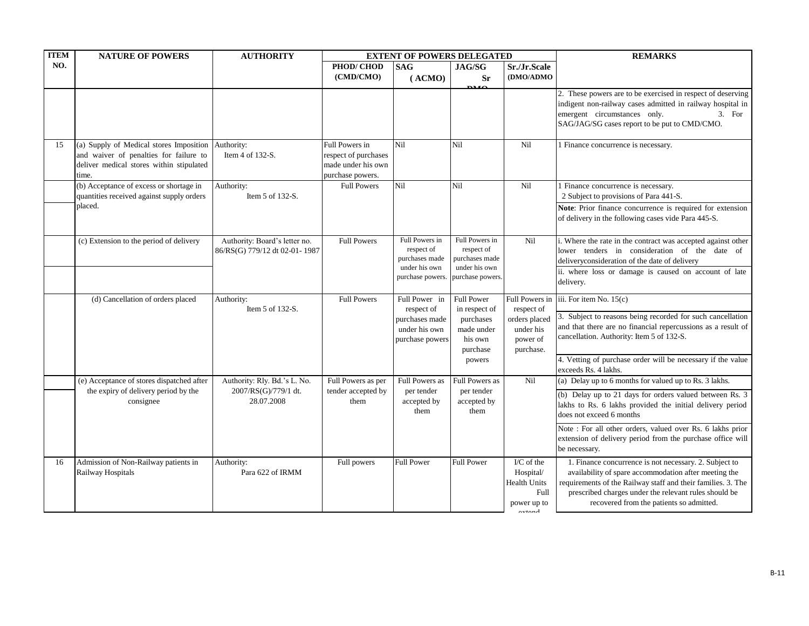| <b>ITEM</b> | <b>NATURE OF POWERS</b>                                                                                                                | <b>AUTHORITY</b>                                               |                                                                                  | <b>EXTENT OF POWERS DELEGATED</b>                                |                                                                 |                                                                                                            | <b>REMARKS</b>                                                                                                                                                                                                                                                                       |
|-------------|----------------------------------------------------------------------------------------------------------------------------------------|----------------------------------------------------------------|----------------------------------------------------------------------------------|------------------------------------------------------------------|-----------------------------------------------------------------|------------------------------------------------------------------------------------------------------------|--------------------------------------------------------------------------------------------------------------------------------------------------------------------------------------------------------------------------------------------------------------------------------------|
| NO.         |                                                                                                                                        |                                                                | PHOD/CHOD<br>(CMD/CMO)                                                           | <b>SAG</b><br>(ACMO)                                             | <b>JAG/SG</b><br><b>Sr</b><br>DJ 17                             | Sr./Jr.Scale<br>(DMO/ADMO                                                                                  |                                                                                                                                                                                                                                                                                      |
|             |                                                                                                                                        |                                                                |                                                                                  |                                                                  |                                                                 |                                                                                                            | 2. These powers are to be exercised in respect of deserving<br>indigent non-railway cases admitted in railway hospital in<br>emergent circumstances only.<br>3. For<br>SAG/JAG/SG cases report to be put to CMD/CMO.                                                                 |
| 15          | (a) Supply of Medical stores Imposition<br>and waiver of penalties for failure to<br>deliver medical stores within stipulated<br>time. | Authority:<br>Item 4 of 132-S.                                 | Full Powers in<br>respect of purchases<br>made under his own<br>purchase powers. | Nil                                                              | Nil                                                             | Nil                                                                                                        | 1 Finance concurrence is necessary.                                                                                                                                                                                                                                                  |
|             | (b) Acceptance of excess or shortage in<br>quantities received against supply orders                                                   | Authority:<br>Item 5 of 132-S.                                 | <b>Full Powers</b>                                                               | Nil                                                              | Nil                                                             | Nil                                                                                                        | Finance concurrence is necessary.<br>2 Subject to provisions of Para 441-S.                                                                                                                                                                                                          |
|             | placed.                                                                                                                                |                                                                |                                                                                  |                                                                  |                                                                 |                                                                                                            | Note: Prior finance concurrence is required for extension<br>of delivery in the following cases vide Para 445-S.                                                                                                                                                                     |
|             | (c) Extension to the period of delivery                                                                                                | Authority: Board's letter no.<br>86/RS(G) 779/12 dt 02-01-1987 | <b>Full Powers</b>                                                               | Full Powers in<br>respect of<br>purchases made                   | Full Powers in<br>respect of<br>purchases made                  | Nil                                                                                                        | i. Where the rate in the contract was accepted against other<br>lower tenders in consideration of the date of<br>delivery<br>consideration of the date of delivery                                                                                                                   |
|             |                                                                                                                                        |                                                                |                                                                                  | under his own<br>purchase powers.                                | under his own<br>purchase powers.                               |                                                                                                            | ii. where loss or damage is caused on account of late<br>delivery.                                                                                                                                                                                                                   |
|             | (d) Cancellation of orders placed                                                                                                      | Authority:<br>Item 5 of 132-S.                                 | <b>Full Powers</b>                                                               | Full Power in                                                    | <b>Full Power</b>                                               | Full Powers in<br>respect of                                                                               | iii. For item No. $15(c)$                                                                                                                                                                                                                                                            |
|             |                                                                                                                                        |                                                                |                                                                                  | respect of<br>purchases made<br>under his own<br>purchase powers | in respect of<br>purchases<br>made under<br>his own<br>purchase | orders placed<br>under his<br>power of<br>purchase.                                                        | 3. Subject to reasons being recorded for such cancellation<br>and that there are no financial repercussions as a result of<br>cancellation. Authority: Item 5 of 132-S.                                                                                                              |
|             |                                                                                                                                        |                                                                |                                                                                  |                                                                  | powers                                                          |                                                                                                            | 4. Vetting of purchase order will be necessary if the value<br>exceeds Rs. 4 lakhs.                                                                                                                                                                                                  |
|             | (e) Acceptance of stores dispatched after<br>the expiry of delivery period by the                                                      | Authority: Rly. Bd.'s L. No.<br>2007/RS(G)/779/1 dt.           | Full Powers as per<br>tender accepted by                                         | <b>Full Powers as</b><br>per tender                              | <b>Full Powers as</b><br>per tender                             | Nil                                                                                                        | (a) Delay up to 6 months for valued up to Rs. 3 lakhs.                                                                                                                                                                                                                               |
|             | consignee                                                                                                                              | 28.07.2008                                                     | them                                                                             | accepted by<br>them                                              | accepted by<br>them                                             |                                                                                                            | (b) Delay up to 21 days for orders valued between Rs. 3<br>lakhs to Rs. 6 lakhs provided the initial delivery period<br>does not exceed 6 months                                                                                                                                     |
|             |                                                                                                                                        |                                                                |                                                                                  |                                                                  |                                                                 |                                                                                                            | Note: For all other orders, valued over Rs. 6 lakhs prior<br>extension of delivery period from the purchase office will<br>be necessary.                                                                                                                                             |
| 16          | Admission of Non-Railway patients in<br>Railway Hospitals                                                                              | Authority:<br>Para 622 of IRMM                                 | Full powers                                                                      | <b>Full Power</b>                                                | <b>Full Power</b>                                               | $\overline{IC}$ of the<br>Hospital/<br><b>Health Units</b><br>Full<br>power up to<br>$\alpha$ <sup>t</sup> | 1. Finance concurrence is not necessary. 2. Subject to<br>availability of spare accommodation after meeting the<br>requirements of the Railway staff and their families. 3. The<br>prescribed charges under the relevant rules should be<br>recovered from the patients so admitted. |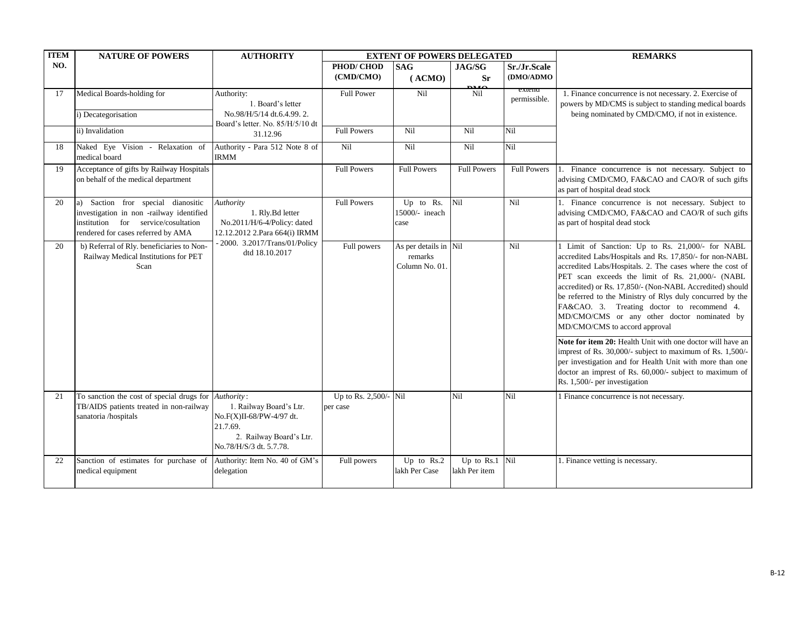| <b>ITEM</b> | <b>NATURE OF POWERS</b>                                                                                                                                    | <b>AUTHORITY</b>                                                                                                      |                                   | <b>EXTENT OF POWERS DELEGATED</b>   |                                                    |                           | <b>REMARKS</b>                                                                                                                                                                                                                                                                  |                                                                                                                                                                                                                                                                                                                                                                                                                                                                                     |
|-------------|------------------------------------------------------------------------------------------------------------------------------------------------------------|-----------------------------------------------------------------------------------------------------------------------|-----------------------------------|-------------------------------------|----------------------------------------------------|---------------------------|---------------------------------------------------------------------------------------------------------------------------------------------------------------------------------------------------------------------------------------------------------------------------------|-------------------------------------------------------------------------------------------------------------------------------------------------------------------------------------------------------------------------------------------------------------------------------------------------------------------------------------------------------------------------------------------------------------------------------------------------------------------------------------|
| NO.         |                                                                                                                                                            |                                                                                                                       | PHOD/CHOD<br>(CMD/CMO)            | <b>SAG</b><br>(ACMO)                | JAG/SG<br><b>Sr</b>                                | Sr./Jr.Scale<br>(DMO/ADMO |                                                                                                                                                                                                                                                                                 |                                                                                                                                                                                                                                                                                                                                                                                                                                                                                     |
| 17          | Medical Boards-holding for                                                                                                                                 | Authority:<br>1. Board's letter                                                                                       | <b>Full Power</b>                 | Nil                                 | Nil                                                | extend<br>permissible.    | 1. Finance concurrence is not necessary. 2. Exercise of<br>powers by MD/CMS is subject to standing medical boards                                                                                                                                                               |                                                                                                                                                                                                                                                                                                                                                                                                                                                                                     |
|             | i) Decategorisation                                                                                                                                        | No.98/H/5/14 dt.6.4.99.2.<br>Board's letter. No. 85/H/5/10 dt                                                         |                                   |                                     |                                                    |                           | being nominated by CMD/CMO, if not in existence.                                                                                                                                                                                                                                |                                                                                                                                                                                                                                                                                                                                                                                                                                                                                     |
|             | ii) Invalidation                                                                                                                                           | 31.12.96                                                                                                              | <b>Full Powers</b>                | Nil                                 | Nil                                                | Nil                       |                                                                                                                                                                                                                                                                                 |                                                                                                                                                                                                                                                                                                                                                                                                                                                                                     |
| 18          | Naked Eye Vision - Relaxation of<br>medical board                                                                                                          | Authority - Para 512 Note 8 of<br><b>IRMM</b>                                                                         | Nil                               | Nil                                 | Nil                                                | Nil                       |                                                                                                                                                                                                                                                                                 |                                                                                                                                                                                                                                                                                                                                                                                                                                                                                     |
| 19          | Acceptance of gifts by Railway Hospitals<br>on behalf of the medical department                                                                            |                                                                                                                       | <b>Full Powers</b>                | <b>Full Powers</b>                  | <b>Full Powers</b>                                 | <b>Full Powers</b>        | 1. Finance concurrence is not necessary. Subject to<br>advising CMD/CMO, FA&CAO and CAO/R of such gifts<br>as part of hospital dead stock                                                                                                                                       |                                                                                                                                                                                                                                                                                                                                                                                                                                                                                     |
| 20          | a) Saction fror special dianositic<br>investigation in non-railway identified<br>institution for service/cosultation<br>rendered for cases referred by AMA | Authority<br>1. Rly.Bd letter<br>No.2011/H/6-4/Policy: dated<br>12.12.2012 2.Para 664(i) IRMM                         | <b>Full Powers</b>                | Up to Rs.<br>15000/- ineach<br>case | Nil                                                | Nil                       | 1. Finance concurrence is not necessary. Subject to<br>advising CMD/CMO, FA&CAO and CAO/R of such gifts<br>as part of hospital dead stock                                                                                                                                       |                                                                                                                                                                                                                                                                                                                                                                                                                                                                                     |
| 20          | b) Referral of Rly. beneficiaries to Non-<br>Railway Medical Institutions for PET<br>Scan                                                                  | - 2000. 3.2017/Trans/01/Policy<br>dtd 18.10.2017                                                                      |                                   | Full powers                         | As per details in Nil<br>remarks<br>Column No. 01. |                           | Nil                                                                                                                                                                                                                                                                             | 1 Limit of Sanction: Up to Rs. 21,000/- for NABL<br>accredited Labs/Hospitals and Rs. 17,850/- for non-NABL<br>accredited Labs/Hospitals. 2. The cases where the cost of<br>PET scan exceeds the limit of Rs. 21,000/- (NABL<br>accredited) or Rs. 17,850/- (Non-NABL Accredited) should<br>be referred to the Ministry of Rlys duly concurred by the<br>FA&CAO. 3. Treating doctor to recommend 4.<br>MD/CMO/CMS or any other doctor nominated by<br>MD/CMO/CMS to accord approval |
|             |                                                                                                                                                            |                                                                                                                       |                                   |                                     |                                                    |                           | Note for item 20: Health Unit with one doctor will have an<br>imprest of Rs. 30,000/- subject to maximum of Rs. 1,500/-<br>per investigation and for Health Unit with more than one<br>doctor an imprest of Rs. 60,000/- subject to maximum of<br>Rs. 1,500/- per investigation |                                                                                                                                                                                                                                                                                                                                                                                                                                                                                     |
| 21          | To sanction the cost of special drugs for Authority:<br>TB/AIDS patients treated in non-railway<br>sanatoria /hospitals                                    | 1. Railway Board's Ltr.<br>No.F(X)II-68/PW-4/97 dt.<br>21.7.69.<br>2. Railway Board's Ltr.<br>No.78/H/S/3 dt. 5.7.78. | Up to Rs. 2,500/- Nil<br>per case |                                     | Nil                                                | Nil                       | 1 Finance concurrence is not necessary.                                                                                                                                                                                                                                         |                                                                                                                                                                                                                                                                                                                                                                                                                                                                                     |
| 22          | Sanction of estimates for purchase of<br>medical equipment                                                                                                 | Authority: Item No. 40 of GM's<br>delegation                                                                          | Full powers                       | Up to $Rs.2$<br>lakh Per Case       | Up to Rs.1<br>lakh Per item                        | Nil                       | 1. Finance vetting is necessary.                                                                                                                                                                                                                                                |                                                                                                                                                                                                                                                                                                                                                                                                                                                                                     |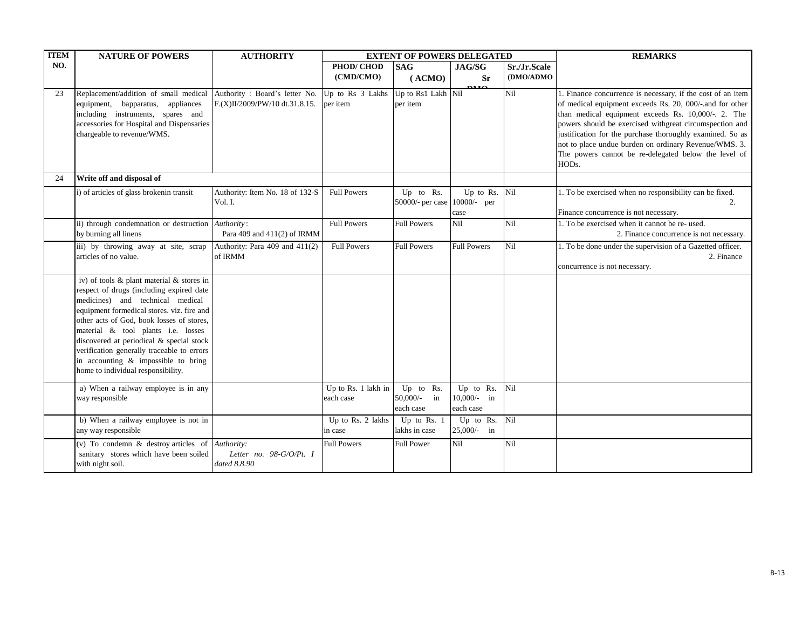| <b>ITEM</b> | <b>NATURE OF POWERS</b>                                                                                                                                                                                                                                                                                                                                                                                                           | <b>AUTHORITY</b>                                                                 |                                  | <b>EXTENT OF POWERS DELEGATED</b>         |                                         |              | <b>REMARKS</b>                                                                                                                                                                                                                                                                                                                                                                                                                   |
|-------------|-----------------------------------------------------------------------------------------------------------------------------------------------------------------------------------------------------------------------------------------------------------------------------------------------------------------------------------------------------------------------------------------------------------------------------------|----------------------------------------------------------------------------------|----------------------------------|-------------------------------------------|-----------------------------------------|--------------|----------------------------------------------------------------------------------------------------------------------------------------------------------------------------------------------------------------------------------------------------------------------------------------------------------------------------------------------------------------------------------------------------------------------------------|
| NO.         |                                                                                                                                                                                                                                                                                                                                                                                                                                   |                                                                                  | PHOD/CHOD                        | <b>SAG</b>                                | JAG/SG                                  | Sr./Jr.Scale |                                                                                                                                                                                                                                                                                                                                                                                                                                  |
|             |                                                                                                                                                                                                                                                                                                                                                                                                                                   |                                                                                  | (CMD/CMO)                        | (ACMO)                                    | <b>Sr</b><br><b>DALO</b>                | (DMO/ADMO    |                                                                                                                                                                                                                                                                                                                                                                                                                                  |
| 23          | Replacement/addition of small medical<br>equipment, bapparatus, appliances<br>including instruments, spares and<br>accessories for Hospital and Dispensaries<br>chargeable to revenue/WMS.                                                                                                                                                                                                                                        | Authority: Board's letter No. Up to Rs 3 Lakhs<br>F.(X)II/2009/PW/10 dt.31.8.15. | per item                         | Up to Rs1 Lakh Nil<br>per item            |                                         | Nil          | 1. Finance concurrence is necessary, if the cost of an item<br>of medical equipment exceeds Rs. 20, 000/-.and for other<br>than medical equipment exceeds Rs. 10,000/-. 2. The<br>powers should be exercised withgreat circumspection and<br>justification for the purchase thoroughly examined. So as<br>not to place undue burden on ordinary Revenue/WMS. 3.<br>The powers cannot be re-delegated below the level of<br>HODs. |
| 24          | Write off and disposal of                                                                                                                                                                                                                                                                                                                                                                                                         |                                                                                  |                                  |                                           |                                         |              |                                                                                                                                                                                                                                                                                                                                                                                                                                  |
|             | i) of articles of glass brokenin transit                                                                                                                                                                                                                                                                                                                                                                                          | Authority: Item No. 18 of 132-S<br>Vol. I.                                       | <b>Full Powers</b>               | Up to Rs.<br>50000/- per case 10000/- per | Up to Rs.<br>case                       | Nil          | 1. To be exercised when no responsibility can be fixed.<br>2.<br>Finance concurrence is not necessary.                                                                                                                                                                                                                                                                                                                           |
|             | ii) through condemnation or destruction <i>Authority</i> :<br>by burning all linens                                                                                                                                                                                                                                                                                                                                               | Para 409 and 411(2) of IRMM                                                      | <b>Full Powers</b>               | <b>Full Powers</b>                        | Nil                                     | Nil          | 1. To be exercised when it cannot be re-used.<br>2. Finance concurrence is not necessary.                                                                                                                                                                                                                                                                                                                                        |
|             | iii) by throwing away at site, scrap<br>articles of no value.                                                                                                                                                                                                                                                                                                                                                                     | Authority: Para 409 and 411(2)<br>of IRMM                                        | <b>Full Powers</b>               | <b>Full Powers</b>                        | Full Powers                             | Nil          | 1. To be done under the supervision of a Gazetted officer.<br>2. Finance<br>concurrence is not necessary.                                                                                                                                                                                                                                                                                                                        |
|             | iv) of tools & plant material & stores in<br>respect of drugs (including expired date<br>medicines) and technical medical<br>equipment formedical stores. viz. fire and<br>other acts of God, book losses of stores,<br>material & tool plants i.e. losses<br>discovered at periodical & special stock<br>verification generally traceable to errors<br>in accounting & impossible to bring<br>home to individual responsibility. |                                                                                  |                                  |                                           |                                         |              |                                                                                                                                                                                                                                                                                                                                                                                                                                  |
|             | a) When a railway employee is in any<br>way responsible                                                                                                                                                                                                                                                                                                                                                                           |                                                                                  | Up to Rs. 1 lakh in<br>each case | Up to Rs.<br>50,000/- in<br>each case     | Up to Rs.<br>$10,000/-$ in<br>each case | Nil          |                                                                                                                                                                                                                                                                                                                                                                                                                                  |
|             | b) When a railway employee is not in<br>any way responsible                                                                                                                                                                                                                                                                                                                                                                       |                                                                                  | Up to Rs. 2 lakhs<br>in case     | Up to Rs. $1$<br>lakhs in case            | Up to Rs.<br>$25,000/-$ in              | Nil          |                                                                                                                                                                                                                                                                                                                                                                                                                                  |
|             | (v) To condemn $\&$ destroy articles of <i>Authority</i> :<br>sanitary stores which have been soiled<br>with night soil.                                                                                                                                                                                                                                                                                                          | Letter no. 98-G/O/Pt. I<br>dated 8.8.90                                          | <b>Full Powers</b>               | <b>Full Power</b>                         | Nil                                     | Nil          |                                                                                                                                                                                                                                                                                                                                                                                                                                  |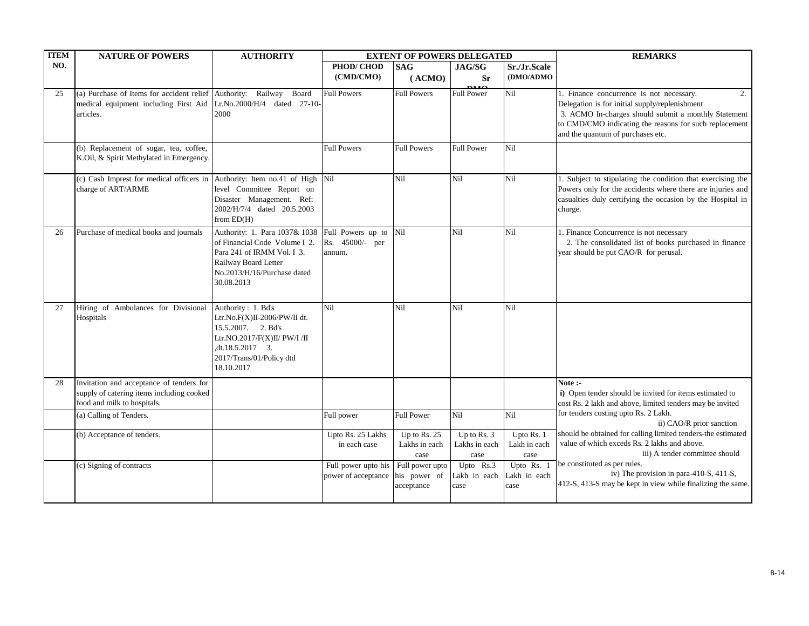| <b>ITEM</b> | <b>NATURE OF POWERS</b>                                                                                                  | <b>AUTHORITY</b>                                                                                                                                                       |                                                         | <b>EXTENT OF POWERS DELEGATED</b>     |                                      |                                    | <b>REMARKS</b>                                                                                                                                                                                                                                                                           |
|-------------|--------------------------------------------------------------------------------------------------------------------------|------------------------------------------------------------------------------------------------------------------------------------------------------------------------|---------------------------------------------------------|---------------------------------------|--------------------------------------|------------------------------------|------------------------------------------------------------------------------------------------------------------------------------------------------------------------------------------------------------------------------------------------------------------------------------------|
| NO.         |                                                                                                                          |                                                                                                                                                                        | PHOD/CHOD<br>(CMD/CMO)                                  | <b>SAG</b><br>(ACMO)                  | JAG/SG<br><b>Sr</b><br>0.10          | Sr./Jr.Scale<br>(DMO/ADMO          |                                                                                                                                                                                                                                                                                          |
| 25          | (a) Purchase of Items for accident relief Authority: Railway Board<br>medical equipment including First Aid<br>articles. | Lr.No.2000/H/4 dated 27-10-<br>2000                                                                                                                                    | <b>Full Powers</b>                                      | <b>Full Powers</b>                    | <b>Full Power</b>                    | Nil                                | 2.<br>1. Finance concurrence is not necessary.<br>Delegation is for initial supply/replenishment<br>3. ACMO In-charges should submit a monthly Statement<br>to CMD/CMO indicating the reasons for such replacement<br>and the quantum of purchases etc.                                  |
|             | (b) Replacement of sugar, tea, coffee,<br>K.Oil, & Spirit Methylated in Emergency.                                       |                                                                                                                                                                        | <b>Full Powers</b>                                      | <b>Full Powers</b>                    | Full Power                           | Nil                                |                                                                                                                                                                                                                                                                                          |
|             | (c) Cash Imprest for medical officers in Authority: Item no.41 of High<br>charge of ART/ARME                             | level Committee Report on<br>Disaster Management. Ref:<br>2002/H/7/4 dated 20.5.2003<br>from $ED(H)$                                                                   | Nil                                                     | Nil                                   | Nil                                  | Nil                                | 1. Subject to stipulating the condition that exercising the<br>Powers only for the accidents where there are injuries and<br>casualties duly certifying the occasion by the Hospital in<br>charge.                                                                                       |
| 26          | Purchase of medical books and journals                                                                                   | Authority: 1. Para 1037& 1038<br>of Financial Code Volume I 2.<br>Para 241 of IRMM Vol. I 3.<br>Railway Board Letter<br>No.2013/H/16/Purchase dated<br>30.08.2013      | Full Powers up to<br>Rs. 45000/- per<br>annum.          | Nil                                   | Nil                                  | Nil                                | 1. Finance Concurrence is not necessary<br>2. The consolidated list of books purchased in finance<br>year should be put CAO/R for perusal.                                                                                                                                               |
| 27          | Hiring of Ambulances for Divisional<br>Hospitals                                                                         | Authority: 1. Bd's<br>Ltr.No.F(X)II-2006/PW/II dt.<br>15.5.2007. 2. Bd's<br>Ltr.NO.2017/F(X)II/ PW/I /II<br>,dt.18.5.2017 3.<br>2017/Trans/01/Policy dtd<br>18.10.2017 | Nil                                                     | Nil                                   | Nil                                  | Nil                                |                                                                                                                                                                                                                                                                                          |
| 28          | Invitation and acceptance of tenders for<br>supply of catering items including cooked<br>food and milk to hospitals.     |                                                                                                                                                                        |                                                         |                                       |                                      |                                    | Note:-<br>i) Open tender should be invited for items estimated to<br>cost Rs. 2 lakh and above, limited tenders may be invited                                                                                                                                                           |
|             | (a) Calling of Tenders.                                                                                                  |                                                                                                                                                                        | Full power                                              | <b>Full Power</b>                     | Nil                                  | Nil                                | for tenders costing upto Rs. 2 Lakh.<br>ii) CAO/R prior sanction                                                                                                                                                                                                                         |
|             | (b) Acceptance of tenders.                                                                                               |                                                                                                                                                                        | Upto Rs. 25 Lakhs<br>in each case                       | Up to Rs. 25<br>Lakhs in each<br>case | Up to Rs. 3<br>Lakhs in each<br>case | Upto Rs. 1<br>Lakh in each<br>case | should be obtained for calling limited tenders-the estimated<br>value of which exceds Rs. 2 lakhs and above.<br>iii) A tender committee should<br>be constituted as per rules.<br>iv) The provision in para-410-S, 411-S,<br>412-S, 413-S may be kept in view while finalizing the same. |
|             | (c) Signing of contracts                                                                                                 |                                                                                                                                                                        | Full power upto his<br>power of acceptance his power of | Full power upto<br>acceptance         | Upto Rs.3<br>Lakh in each<br>case    | Upto Rs. 1<br>Lakh in each<br>case |                                                                                                                                                                                                                                                                                          |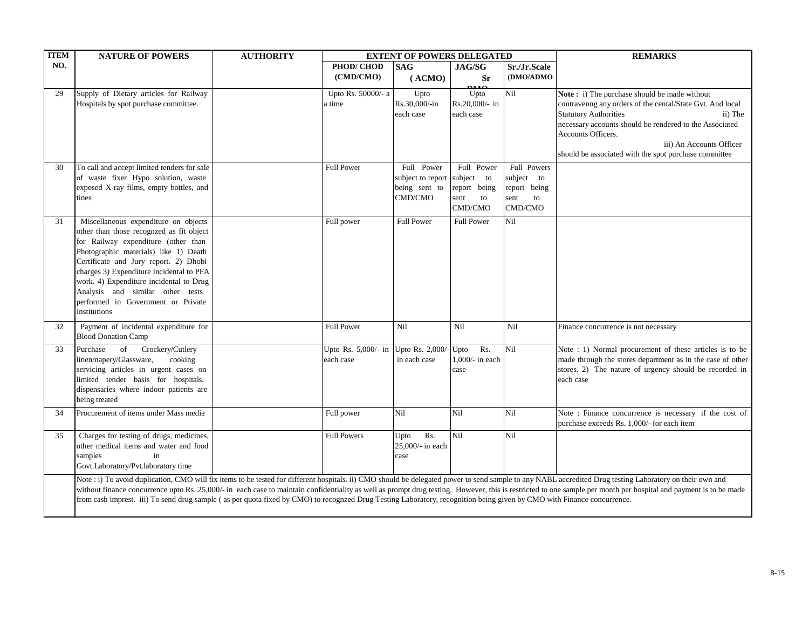| <b>ITEM</b> | <b>NATURE OF POWERS</b>                                                                                                                                                                                                                                                                                                                                                                    | <b>AUTHORITY</b> |                                  | <b>EXTENT OF POWERS DELEGATED</b>                           |                                                                   | <b>REMARKS</b>                                                     |                                                                                                                                                                                                                                                                                                                                                                                                                                |
|-------------|--------------------------------------------------------------------------------------------------------------------------------------------------------------------------------------------------------------------------------------------------------------------------------------------------------------------------------------------------------------------------------------------|------------------|----------------------------------|-------------------------------------------------------------|-------------------------------------------------------------------|--------------------------------------------------------------------|--------------------------------------------------------------------------------------------------------------------------------------------------------------------------------------------------------------------------------------------------------------------------------------------------------------------------------------------------------------------------------------------------------------------------------|
| NO.         |                                                                                                                                                                                                                                                                                                                                                                                            |                  | PHOD/CHOD<br>(CMD/CMO)           | <b>SAG</b><br>(ACMO)                                        | JAG/SG<br><b>Sr</b><br><b>DMO</b>                                 | Sr./Jr.Scale<br>(DMO/ADMO                                          |                                                                                                                                                                                                                                                                                                                                                                                                                                |
| 29          | Supply of Dietary articles for Railway<br>Hospitals by spot purchase committee.                                                                                                                                                                                                                                                                                                            |                  | Upto Rs. 50000/- a<br>a time     | Upto<br>Rs.30,000/-in<br>each case                          | Upto<br>Rs.20,000/- in<br>each case                               | Nil                                                                | Note: i) The purchase should be made without<br>contravenng any orders of the cental/State Gvt. And local<br><b>Statutory Authorities</b><br>ii) The<br>necessary accounts should be rendered to the Associated<br>Accounts Officers.<br>iii) An Accounts Officer<br>should be associated with the spot purchase committee                                                                                                     |
| 30          | To call and accept limited tenders for sale<br>of waste fixer Hypo solution, waste<br>exposed X-ray films, empty bottles, and<br>tines                                                                                                                                                                                                                                                     |                  | <b>Full Power</b>                | Full Power<br>subject to report<br>being sent to<br>CMD/CMO | Full Power<br>subject to<br>report being<br>sent<br>to<br>CMD/CMO | Full Powers<br>subject to<br>report being<br>sent<br>to<br>CMD/CMO |                                                                                                                                                                                                                                                                                                                                                                                                                                |
| 31          | Miscellaneous expenditure on objects<br>other than those recognzed as fit object<br>for Railway expenditure (other than<br>Photographic materials) like 1) Death<br>Certificate and Jury report. 2) Dhobi<br>charges 3) Expenditure incidental to PFA<br>work. 4) Expenditure incidental to Drug<br>Analysis and similar other tests<br>performed in Government or Private<br>Institutions |                  | Full power                       | <b>Full Power</b>                                           | <b>Full Power</b>                                                 | Nil                                                                |                                                                                                                                                                                                                                                                                                                                                                                                                                |
| 32          | Payment of incidental expenditure for<br><b>Blood Donation Camp</b>                                                                                                                                                                                                                                                                                                                        |                  | <b>Full Power</b>                | Nil                                                         | Nil                                                               | Nil                                                                | Finance concurrence is not necessary                                                                                                                                                                                                                                                                                                                                                                                           |
| 33          | of<br>Crockery/Cutlery<br>Purchase<br>linen/napery/Glassware,<br>cooking<br>servicing articles in urgent cases on<br>limited tender basis for hospitals,<br>dispensaries where indoor patients are<br>being treated                                                                                                                                                                        |                  | Upto Rs. 5,000/- in<br>each case | Upto Rs. 2,000/-<br>in each case                            | Rs.<br>Upto<br>1,000/- in each<br>case                            | Nil                                                                | Note : 1) Normal procurement of these articles is to be<br>made through the stores department as in the case of other<br>stores. 2) The nature of urgency should be recorded in<br>each case                                                                                                                                                                                                                                   |
| 34          | Procurement of items under Mass media                                                                                                                                                                                                                                                                                                                                                      |                  | Full power                       | Nil                                                         | Nil                                                               | Nil                                                                | Note : Finance concurrence is necessary if the cost of<br>purchase exceeds Rs. 1,000/- for each item                                                                                                                                                                                                                                                                                                                           |
| 35          | Charges for testing of drugs, medicines,<br>other medical items and water and food<br>samples<br>in<br>Govt.Laboratory/Pvt.laboratory time                                                                                                                                                                                                                                                 |                  | <b>Full Powers</b>               | Rs.<br>Upto<br>25,000/- in each<br>case                     | Nil                                                               | Nil                                                                |                                                                                                                                                                                                                                                                                                                                                                                                                                |
|             | from cash imprest. iii) To send drug sample (as per quota fixed by CMO) to recognzed Drug Testing Laboratory, recognition being given by CMO with Finance concurrence.                                                                                                                                                                                                                     |                  |                                  |                                                             |                                                                   |                                                                    | Note : i) To avoid duplication, CMO will fix items to be tested for different hospitals. ii) CMO should be delegated power to send sample to any NABL accredited Drug testing Laboratory on their own and<br>without finance concurrence upto Rs. 25,000/- in each case to maintain confidentiality as well as prompt drug testing. However, this is restricted to one sample per month per hospital and payment is to be made |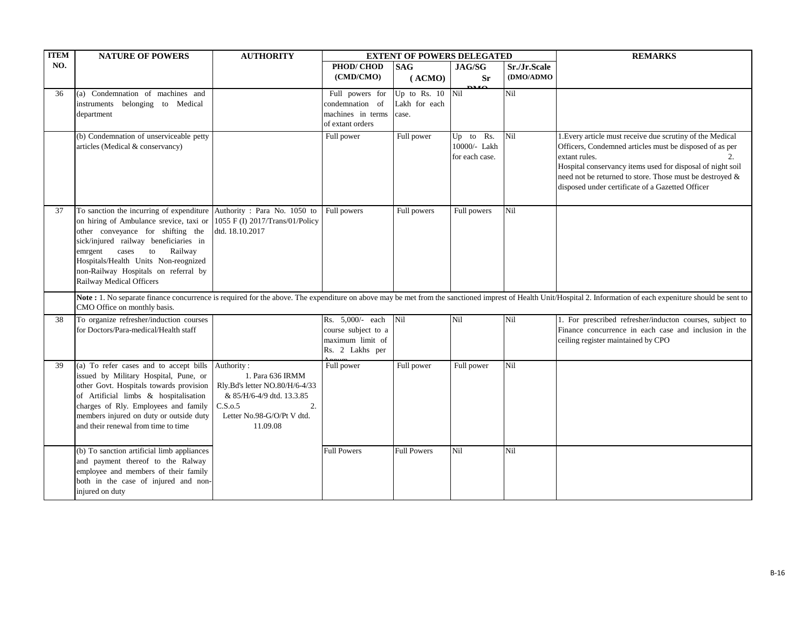| <b>ITEM</b> | <b>NATURE OF POWERS</b>                                                     | <b>AUTHORITY</b>               | <b>EXTENT OF POWERS DELEGATED</b>  |                                 |                           |              | <b>REMARKS</b>                                                                                                                                                                                                  |
|-------------|-----------------------------------------------------------------------------|--------------------------------|------------------------------------|---------------------------------|---------------------------|--------------|-----------------------------------------------------------------------------------------------------------------------------------------------------------------------------------------------------------------|
| NO.         |                                                                             |                                | PHOD/CHOD                          | <b>SAG</b>                      | JAG/SG                    | Sr./Jr.Scale |                                                                                                                                                                                                                 |
|             |                                                                             |                                | (CMD/CMO)                          | (ACMO)                          | <b>Sr</b>                 | (DMO/ADMO    |                                                                                                                                                                                                                 |
|             |                                                                             |                                |                                    |                                 | $\bf{m}$                  | Nil          |                                                                                                                                                                                                                 |
| 36          | (a) Condemnation of machines and                                            |                                | Full powers for<br>condemnation of | Up to Rs. $10$<br>Lakh for each | Nil                       |              |                                                                                                                                                                                                                 |
|             | instruments belonging to Medical<br>department                              |                                | machines in terms                  | case.                           |                           |              |                                                                                                                                                                                                                 |
|             |                                                                             |                                | of extant orders                   |                                 |                           |              |                                                                                                                                                                                                                 |
|             |                                                                             |                                |                                    |                                 |                           |              |                                                                                                                                                                                                                 |
|             | (b) Condemnation of unserviceable petty<br>articles (Medical & conservancy) |                                | Full power                         | Full power                      | Up to Rs.<br>10000/- Lakh | Nil          | 1. Every article must receive due scrutiny of the Medical<br>Officers, Condemned articles must be disposed of as per                                                                                            |
|             |                                                                             |                                |                                    |                                 | for each case.            |              | extant rules.<br>2.                                                                                                                                                                                             |
|             |                                                                             |                                |                                    |                                 |                           |              | Hospital conservancy items used for disposal of night soil                                                                                                                                                      |
|             |                                                                             |                                |                                    |                                 |                           |              | need not be returned to store. Those must be destroyed &                                                                                                                                                        |
|             |                                                                             |                                |                                    |                                 |                           |              | disposed under certificate of a Gazetted Officer                                                                                                                                                                |
|             |                                                                             |                                |                                    |                                 |                           |              |                                                                                                                                                                                                                 |
| 37          | To sanction the incurring of expenditure Authority : Para No. 1050 to       |                                | Full powers                        | Full powers                     | Full powers               | Nil          |                                                                                                                                                                                                                 |
|             | on hiring of Ambulance srevice, taxi or 1055 F (I) 2017/Trans/01/Policy     |                                |                                    |                                 |                           |              |                                                                                                                                                                                                                 |
|             | other conveyance for shifting the                                           | dtd. 18.10.2017                |                                    |                                 |                           |              |                                                                                                                                                                                                                 |
|             | sick/injured railway beneficiaries in                                       |                                |                                    |                                 |                           |              |                                                                                                                                                                                                                 |
|             | emrgent cases<br>to Railway                                                 |                                |                                    |                                 |                           |              |                                                                                                                                                                                                                 |
|             | Hospitals/Health Units Non-reognized                                        |                                |                                    |                                 |                           |              |                                                                                                                                                                                                                 |
|             | non-Railway Hospitals on referral by                                        |                                |                                    |                                 |                           |              |                                                                                                                                                                                                                 |
|             | Railway Medical Officers                                                    |                                |                                    |                                 |                           |              |                                                                                                                                                                                                                 |
|             |                                                                             |                                |                                    |                                 |                           |              | Note: 1. No separate finance concurrence is required for the above. The expenditure on above may be met from the sanctioned imprest of Health Unit/Hospital 2. Information of each expeniture should be sent to |
|             | CMO Office on monthly basis.                                                |                                |                                    |                                 |                           |              |                                                                                                                                                                                                                 |
| 38          | To organize refresher/induction courses                                     |                                | Rs. 5,000/- each                   | Nil                             | Nil                       | Nil          | 1. For prescribed refresher/inducton courses, subject to                                                                                                                                                        |
|             | for Doctors/Para-medical/Health staff                                       |                                | course subject to a                |                                 |                           |              | Finance concurrence in each case and inclusion in the                                                                                                                                                           |
|             |                                                                             |                                | maximum limit of                   |                                 |                           |              | ceiling register maintained by CPO                                                                                                                                                                              |
|             |                                                                             |                                | Rs. 2 Lakhs per                    |                                 |                           |              |                                                                                                                                                                                                                 |
| 39          | (a) To refer cases and to accept bills                                      | Authority:                     | Full power                         | Full power                      | Full power                | Nil          |                                                                                                                                                                                                                 |
|             | issued by Military Hospital, Pune, or                                       | 1. Para 636 IRMM               |                                    |                                 |                           |              |                                                                                                                                                                                                                 |
|             | other Govt. Hospitals towards provision                                     | Rly.Bd's letter NO.80/H/6-4/33 |                                    |                                 |                           |              |                                                                                                                                                                                                                 |
|             | of Artificial limbs & hospitalisation                                       | & 85/H/6-4/9 dtd. 13.3.85      |                                    |                                 |                           |              |                                                                                                                                                                                                                 |
|             | charges of Rly. Employees and family                                        | C.S.0.5<br>2.                  |                                    |                                 |                           |              |                                                                                                                                                                                                                 |
|             | members injured on duty or outside duty                                     | Letter No.98-G/O/Pt V dtd.     |                                    |                                 |                           |              |                                                                                                                                                                                                                 |
|             | and their renewal from time to time                                         | 11.09.08                       |                                    |                                 |                           |              |                                                                                                                                                                                                                 |
|             |                                                                             |                                |                                    |                                 |                           |              |                                                                                                                                                                                                                 |
|             | (b) To sanction artificial limb appliances                                  |                                | <b>Full Powers</b>                 | <b>Full Powers</b>              | Nil                       | Nil          |                                                                                                                                                                                                                 |
|             | and payment thereof to the Ralway                                           |                                |                                    |                                 |                           |              |                                                                                                                                                                                                                 |
|             | employee and members of their family                                        |                                |                                    |                                 |                           |              |                                                                                                                                                                                                                 |
|             | both in the case of injured and non-                                        |                                |                                    |                                 |                           |              |                                                                                                                                                                                                                 |
|             | injured on duty                                                             |                                |                                    |                                 |                           |              |                                                                                                                                                                                                                 |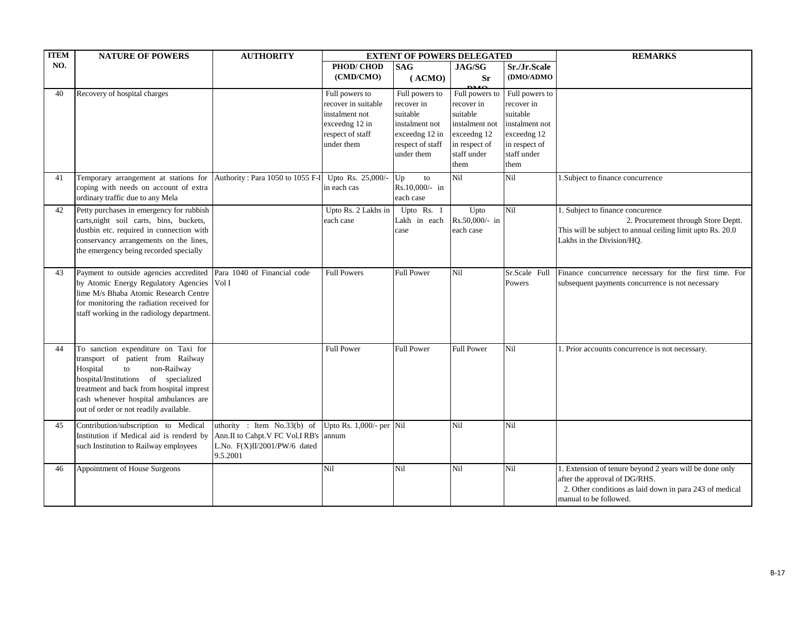| NO.<br>PHOD/CHOD<br><b>SAG</b><br>JAG/SG<br>Sr./Jr.Scale<br>(CMD/CMO)<br><b>Sr</b><br>(DMO/ADMO<br>(ACMO)<br>0.10<br>Recovery of hospital charges<br>Full powers to<br>Full powers to<br>40<br>Full powers to<br>Full powers to<br>recover in suitable<br>recover in<br>recover in<br>recover in<br>suitable<br>suitable<br>suitable<br>instalment not<br>instalment not<br>exceedng 12 in<br>instalment not<br>instalment not<br>exceedng 12<br>exceedng 12<br>respect of staff<br>exceedng 12 in<br>under them<br>in respect of<br>respect of staff<br>in respect of<br>staff under<br>under them<br>staff under<br>them<br>them<br>Temporary arrangement at stations for<br>Authority: Para 1050 to 1055 F-I<br>Upto Rs. 25,000/-<br>Nil<br>Nil<br>1. Subject to finance concurrence<br>41<br>Up<br>to<br>coping with needs on account of extra<br>Rs.10,000/- in<br>in each cas<br>ordinary traffic due to any Mela<br>each case<br>Petty purchases in emergency for rubbish<br>Upto<br>Nil<br>42<br>Upto Rs. 2 Lakhs in<br>Upto Rs. 1<br>1. Subject to finance concurence<br>carts, night soil carts, bins, buckets,<br>Rs.50,000/- in<br>2. Procurement through Store Deptt.<br>each case<br>Lakh in each<br>dustbin etc. required in connection with<br>This will be subject to annual ceiling limit upto Rs. 20.0<br>each case<br>case<br>conservancy arrangements on the lines,<br>Lakhs in the Division/HQ.<br>the emergency being recorded specially<br>Payment to outside agencies accredited Para 1040 of Financial code<br>Nil<br><b>Full Powers</b><br><b>Full Power</b><br>Finance concurrence necessary for the first time. For<br>Sr.Scale Full<br>43<br>by Atomic Energy Regulatory Agencies Vol I<br>Powers<br>subsequent payments concurrence is not necessary<br>lime M/s Bhaba Atomic Research Centre<br>for monitoring the radiation received for<br>staff working in the radiology department.<br>To sanction expenditure on Taxi for<br><b>Full Power</b><br><b>Full Power</b><br><b>Full Power</b><br>Nil<br>44<br>1. Prior accounts concurrence is not necessary.<br>transport of patient from Railway | <b>ITEM</b> | <b>NATURE OF POWERS</b>       | <b>AUTHORITY</b> | <b>EXTENT OF POWERS DELEGATED</b> |  |  |  | <b>REMARKS</b> |
|------------------------------------------------------------------------------------------------------------------------------------------------------------------------------------------------------------------------------------------------------------------------------------------------------------------------------------------------------------------------------------------------------------------------------------------------------------------------------------------------------------------------------------------------------------------------------------------------------------------------------------------------------------------------------------------------------------------------------------------------------------------------------------------------------------------------------------------------------------------------------------------------------------------------------------------------------------------------------------------------------------------------------------------------------------------------------------------------------------------------------------------------------------------------------------------------------------------------------------------------------------------------------------------------------------------------------------------------------------------------------------------------------------------------------------------------------------------------------------------------------------------------------------------------------------------------------------------------------------------------------------------------------------------------------------------------------------------------------------------------------------------------------------------------------------------------------------------------------------------------------------------------------------------------------------------------------------------------------------------------------------------------------------------------------------------------------------------------------------------------------------|-------------|-------------------------------|------------------|-----------------------------------|--|--|--|----------------|
|                                                                                                                                                                                                                                                                                                                                                                                                                                                                                                                                                                                                                                                                                                                                                                                                                                                                                                                                                                                                                                                                                                                                                                                                                                                                                                                                                                                                                                                                                                                                                                                                                                                                                                                                                                                                                                                                                                                                                                                                                                                                                                                                    |             |                               |                  |                                   |  |  |  |                |
|                                                                                                                                                                                                                                                                                                                                                                                                                                                                                                                                                                                                                                                                                                                                                                                                                                                                                                                                                                                                                                                                                                                                                                                                                                                                                                                                                                                                                                                                                                                                                                                                                                                                                                                                                                                                                                                                                                                                                                                                                                                                                                                                    |             |                               |                  |                                   |  |  |  |                |
|                                                                                                                                                                                                                                                                                                                                                                                                                                                                                                                                                                                                                                                                                                                                                                                                                                                                                                                                                                                                                                                                                                                                                                                                                                                                                                                                                                                                                                                                                                                                                                                                                                                                                                                                                                                                                                                                                                                                                                                                                                                                                                                                    |             |                               |                  |                                   |  |  |  |                |
|                                                                                                                                                                                                                                                                                                                                                                                                                                                                                                                                                                                                                                                                                                                                                                                                                                                                                                                                                                                                                                                                                                                                                                                                                                                                                                                                                                                                                                                                                                                                                                                                                                                                                                                                                                                                                                                                                                                                                                                                                                                                                                                                    |             |                               |                  |                                   |  |  |  |                |
|                                                                                                                                                                                                                                                                                                                                                                                                                                                                                                                                                                                                                                                                                                                                                                                                                                                                                                                                                                                                                                                                                                                                                                                                                                                                                                                                                                                                                                                                                                                                                                                                                                                                                                                                                                                                                                                                                                                                                                                                                                                                                                                                    |             |                               |                  |                                   |  |  |  |                |
|                                                                                                                                                                                                                                                                                                                                                                                                                                                                                                                                                                                                                                                                                                                                                                                                                                                                                                                                                                                                                                                                                                                                                                                                                                                                                                                                                                                                                                                                                                                                                                                                                                                                                                                                                                                                                                                                                                                                                                                                                                                                                                                                    |             |                               |                  |                                   |  |  |  |                |
|                                                                                                                                                                                                                                                                                                                                                                                                                                                                                                                                                                                                                                                                                                                                                                                                                                                                                                                                                                                                                                                                                                                                                                                                                                                                                                                                                                                                                                                                                                                                                                                                                                                                                                                                                                                                                                                                                                                                                                                                                                                                                                                                    |             |                               |                  |                                   |  |  |  |                |
|                                                                                                                                                                                                                                                                                                                                                                                                                                                                                                                                                                                                                                                                                                                                                                                                                                                                                                                                                                                                                                                                                                                                                                                                                                                                                                                                                                                                                                                                                                                                                                                                                                                                                                                                                                                                                                                                                                                                                                                                                                                                                                                                    |             |                               |                  |                                   |  |  |  |                |
|                                                                                                                                                                                                                                                                                                                                                                                                                                                                                                                                                                                                                                                                                                                                                                                                                                                                                                                                                                                                                                                                                                                                                                                                                                                                                                                                                                                                                                                                                                                                                                                                                                                                                                                                                                                                                                                                                                                                                                                                                                                                                                                                    |             |                               |                  |                                   |  |  |  |                |
|                                                                                                                                                                                                                                                                                                                                                                                                                                                                                                                                                                                                                                                                                                                                                                                                                                                                                                                                                                                                                                                                                                                                                                                                                                                                                                                                                                                                                                                                                                                                                                                                                                                                                                                                                                                                                                                                                                                                                                                                                                                                                                                                    |             |                               |                  |                                   |  |  |  |                |
|                                                                                                                                                                                                                                                                                                                                                                                                                                                                                                                                                                                                                                                                                                                                                                                                                                                                                                                                                                                                                                                                                                                                                                                                                                                                                                                                                                                                                                                                                                                                                                                                                                                                                                                                                                                                                                                                                                                                                                                                                                                                                                                                    |             |                               |                  |                                   |  |  |  |                |
|                                                                                                                                                                                                                                                                                                                                                                                                                                                                                                                                                                                                                                                                                                                                                                                                                                                                                                                                                                                                                                                                                                                                                                                                                                                                                                                                                                                                                                                                                                                                                                                                                                                                                                                                                                                                                                                                                                                                                                                                                                                                                                                                    |             |                               |                  |                                   |  |  |  |                |
|                                                                                                                                                                                                                                                                                                                                                                                                                                                                                                                                                                                                                                                                                                                                                                                                                                                                                                                                                                                                                                                                                                                                                                                                                                                                                                                                                                                                                                                                                                                                                                                                                                                                                                                                                                                                                                                                                                                                                                                                                                                                                                                                    |             |                               |                  |                                   |  |  |  |                |
|                                                                                                                                                                                                                                                                                                                                                                                                                                                                                                                                                                                                                                                                                                                                                                                                                                                                                                                                                                                                                                                                                                                                                                                                                                                                                                                                                                                                                                                                                                                                                                                                                                                                                                                                                                                                                                                                                                                                                                                                                                                                                                                                    |             |                               |                  |                                   |  |  |  |                |
|                                                                                                                                                                                                                                                                                                                                                                                                                                                                                                                                                                                                                                                                                                                                                                                                                                                                                                                                                                                                                                                                                                                                                                                                                                                                                                                                                                                                                                                                                                                                                                                                                                                                                                                                                                                                                                                                                                                                                                                                                                                                                                                                    |             |                               |                  |                                   |  |  |  |                |
|                                                                                                                                                                                                                                                                                                                                                                                                                                                                                                                                                                                                                                                                                                                                                                                                                                                                                                                                                                                                                                                                                                                                                                                                                                                                                                                                                                                                                                                                                                                                                                                                                                                                                                                                                                                                                                                                                                                                                                                                                                                                                                                                    |             |                               |                  |                                   |  |  |  |                |
|                                                                                                                                                                                                                                                                                                                                                                                                                                                                                                                                                                                                                                                                                                                                                                                                                                                                                                                                                                                                                                                                                                                                                                                                                                                                                                                                                                                                                                                                                                                                                                                                                                                                                                                                                                                                                                                                                                                                                                                                                                                                                                                                    |             |                               |                  |                                   |  |  |  |                |
|                                                                                                                                                                                                                                                                                                                                                                                                                                                                                                                                                                                                                                                                                                                                                                                                                                                                                                                                                                                                                                                                                                                                                                                                                                                                                                                                                                                                                                                                                                                                                                                                                                                                                                                                                                                                                                                                                                                                                                                                                                                                                                                                    |             |                               |                  |                                   |  |  |  |                |
|                                                                                                                                                                                                                                                                                                                                                                                                                                                                                                                                                                                                                                                                                                                                                                                                                                                                                                                                                                                                                                                                                                                                                                                                                                                                                                                                                                                                                                                                                                                                                                                                                                                                                                                                                                                                                                                                                                                                                                                                                                                                                                                                    |             |                               |                  |                                   |  |  |  |                |
|                                                                                                                                                                                                                                                                                                                                                                                                                                                                                                                                                                                                                                                                                                                                                                                                                                                                                                                                                                                                                                                                                                                                                                                                                                                                                                                                                                                                                                                                                                                                                                                                                                                                                                                                                                                                                                                                                                                                                                                                                                                                                                                                    |             |                               |                  |                                   |  |  |  |                |
|                                                                                                                                                                                                                                                                                                                                                                                                                                                                                                                                                                                                                                                                                                                                                                                                                                                                                                                                                                                                                                                                                                                                                                                                                                                                                                                                                                                                                                                                                                                                                                                                                                                                                                                                                                                                                                                                                                                                                                                                                                                                                                                                    |             |                               |                  |                                   |  |  |  |                |
|                                                                                                                                                                                                                                                                                                                                                                                                                                                                                                                                                                                                                                                                                                                                                                                                                                                                                                                                                                                                                                                                                                                                                                                                                                                                                                                                                                                                                                                                                                                                                                                                                                                                                                                                                                                                                                                                                                                                                                                                                                                                                                                                    |             |                               |                  |                                   |  |  |  |                |
|                                                                                                                                                                                                                                                                                                                                                                                                                                                                                                                                                                                                                                                                                                                                                                                                                                                                                                                                                                                                                                                                                                                                                                                                                                                                                                                                                                                                                                                                                                                                                                                                                                                                                                                                                                                                                                                                                                                                                                                                                                                                                                                                    |             |                               |                  |                                   |  |  |  |                |
|                                                                                                                                                                                                                                                                                                                                                                                                                                                                                                                                                                                                                                                                                                                                                                                                                                                                                                                                                                                                                                                                                                                                                                                                                                                                                                                                                                                                                                                                                                                                                                                                                                                                                                                                                                                                                                                                                                                                                                                                                                                                                                                                    |             |                               |                  |                                   |  |  |  |                |
|                                                                                                                                                                                                                                                                                                                                                                                                                                                                                                                                                                                                                                                                                                                                                                                                                                                                                                                                                                                                                                                                                                                                                                                                                                                                                                                                                                                                                                                                                                                                                                                                                                                                                                                                                                                                                                                                                                                                                                                                                                                                                                                                    |             |                               |                  |                                   |  |  |  |                |
|                                                                                                                                                                                                                                                                                                                                                                                                                                                                                                                                                                                                                                                                                                                                                                                                                                                                                                                                                                                                                                                                                                                                                                                                                                                                                                                                                                                                                                                                                                                                                                                                                                                                                                                                                                                                                                                                                                                                                                                                                                                                                                                                    |             |                               |                  |                                   |  |  |  |                |
|                                                                                                                                                                                                                                                                                                                                                                                                                                                                                                                                                                                                                                                                                                                                                                                                                                                                                                                                                                                                                                                                                                                                                                                                                                                                                                                                                                                                                                                                                                                                                                                                                                                                                                                                                                                                                                                                                                                                                                                                                                                                                                                                    |             |                               |                  |                                   |  |  |  |                |
|                                                                                                                                                                                                                                                                                                                                                                                                                                                                                                                                                                                                                                                                                                                                                                                                                                                                                                                                                                                                                                                                                                                                                                                                                                                                                                                                                                                                                                                                                                                                                                                                                                                                                                                                                                                                                                                                                                                                                                                                                                                                                                                                    |             | Hospital<br>non-Railway<br>to |                  |                                   |  |  |  |                |
| hospital/Institutions of specialized                                                                                                                                                                                                                                                                                                                                                                                                                                                                                                                                                                                                                                                                                                                                                                                                                                                                                                                                                                                                                                                                                                                                                                                                                                                                                                                                                                                                                                                                                                                                                                                                                                                                                                                                                                                                                                                                                                                                                                                                                                                                                               |             |                               |                  |                                   |  |  |  |                |
| treatment and back from hospital imprest                                                                                                                                                                                                                                                                                                                                                                                                                                                                                                                                                                                                                                                                                                                                                                                                                                                                                                                                                                                                                                                                                                                                                                                                                                                                                                                                                                                                                                                                                                                                                                                                                                                                                                                                                                                                                                                                                                                                                                                                                                                                                           |             |                               |                  |                                   |  |  |  |                |
| cash whenever hospital ambulances are<br>out of order or not readily available.                                                                                                                                                                                                                                                                                                                                                                                                                                                                                                                                                                                                                                                                                                                                                                                                                                                                                                                                                                                                                                                                                                                                                                                                                                                                                                                                                                                                                                                                                                                                                                                                                                                                                                                                                                                                                                                                                                                                                                                                                                                    |             |                               |                  |                                   |  |  |  |                |
|                                                                                                                                                                                                                                                                                                                                                                                                                                                                                                                                                                                                                                                                                                                                                                                                                                                                                                                                                                                                                                                                                                                                                                                                                                                                                                                                                                                                                                                                                                                                                                                                                                                                                                                                                                                                                                                                                                                                                                                                                                                                                                                                    |             |                               |                  |                                   |  |  |  |                |
| uthority : Item No.33(b) of<br>Upto Rs. 1,000/- per Nil<br>Contribution/subscription to Medical<br>Nil<br>Nil<br>45                                                                                                                                                                                                                                                                                                                                                                                                                                                                                                                                                                                                                                                                                                                                                                                                                                                                                                                                                                                                                                                                                                                                                                                                                                                                                                                                                                                                                                                                                                                                                                                                                                                                                                                                                                                                                                                                                                                                                                                                                |             |                               |                  |                                   |  |  |  |                |
| Institution if Medical aid is renderd by<br>Ann.II to Cahpt.V FC Vol.I RB's<br>annum                                                                                                                                                                                                                                                                                                                                                                                                                                                                                                                                                                                                                                                                                                                                                                                                                                                                                                                                                                                                                                                                                                                                                                                                                                                                                                                                                                                                                                                                                                                                                                                                                                                                                                                                                                                                                                                                                                                                                                                                                                               |             |                               |                  |                                   |  |  |  |                |
| such Institution to Railway employees<br>L.No. $F(X)II/2001/PW/6$ dated                                                                                                                                                                                                                                                                                                                                                                                                                                                                                                                                                                                                                                                                                                                                                                                                                                                                                                                                                                                                                                                                                                                                                                                                                                                                                                                                                                                                                                                                                                                                                                                                                                                                                                                                                                                                                                                                                                                                                                                                                                                            |             |                               |                  |                                   |  |  |  |                |
| 9.5.2001                                                                                                                                                                                                                                                                                                                                                                                                                                                                                                                                                                                                                                                                                                                                                                                                                                                                                                                                                                                                                                                                                                                                                                                                                                                                                                                                                                                                                                                                                                                                                                                                                                                                                                                                                                                                                                                                                                                                                                                                                                                                                                                           |             |                               |                  |                                   |  |  |  |                |
| Appointment of House Surgeons<br>Nil<br>Nil<br>Nil<br>Nil<br>1. Extension of tenure beyond 2 years will be done only<br>46                                                                                                                                                                                                                                                                                                                                                                                                                                                                                                                                                                                                                                                                                                                                                                                                                                                                                                                                                                                                                                                                                                                                                                                                                                                                                                                                                                                                                                                                                                                                                                                                                                                                                                                                                                                                                                                                                                                                                                                                         |             |                               |                  |                                   |  |  |  |                |
| after the approval of DG/RHS.<br>2. Other conditions as laid down in para 243 of medical                                                                                                                                                                                                                                                                                                                                                                                                                                                                                                                                                                                                                                                                                                                                                                                                                                                                                                                                                                                                                                                                                                                                                                                                                                                                                                                                                                                                                                                                                                                                                                                                                                                                                                                                                                                                                                                                                                                                                                                                                                           |             |                               |                  |                                   |  |  |  |                |
| manual to be followed.                                                                                                                                                                                                                                                                                                                                                                                                                                                                                                                                                                                                                                                                                                                                                                                                                                                                                                                                                                                                                                                                                                                                                                                                                                                                                                                                                                                                                                                                                                                                                                                                                                                                                                                                                                                                                                                                                                                                                                                                                                                                                                             |             |                               |                  |                                   |  |  |  |                |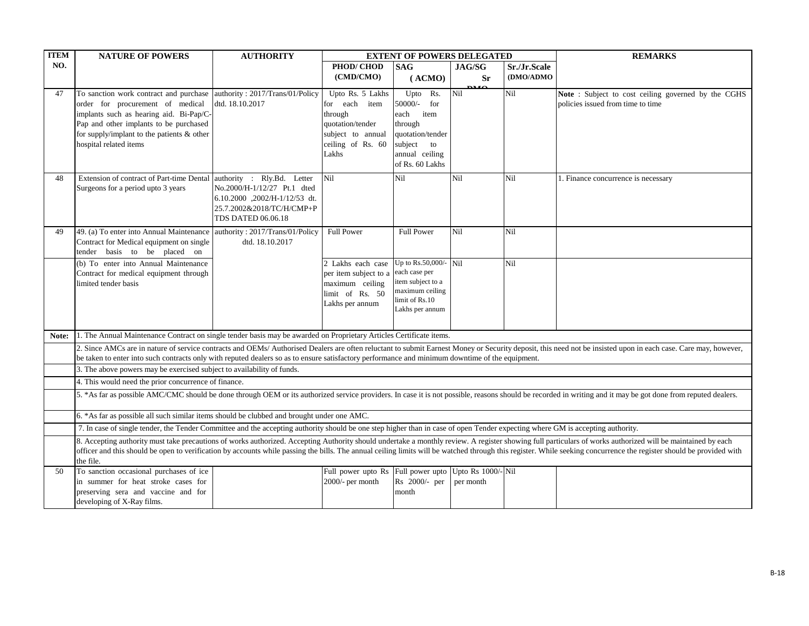| <b>ITEM</b> | <b>NATURE OF POWERS</b>                                                                                                                                                                                                                                                 | <b>AUTHORITY</b>                                                                                                       |                                                                                                                     | <b>EXTENT OF POWERS DELEGATED</b>                                                                                           |                     | <b>REMARKS</b> |                                                                                                                                                                                                                                                                                                                                                                                                                                     |  |
|-------------|-------------------------------------------------------------------------------------------------------------------------------------------------------------------------------------------------------------------------------------------------------------------------|------------------------------------------------------------------------------------------------------------------------|---------------------------------------------------------------------------------------------------------------------|-----------------------------------------------------------------------------------------------------------------------------|---------------------|----------------|-------------------------------------------------------------------------------------------------------------------------------------------------------------------------------------------------------------------------------------------------------------------------------------------------------------------------------------------------------------------------------------------------------------------------------------|--|
| NO.         |                                                                                                                                                                                                                                                                         |                                                                                                                        | PHOD/CHOD                                                                                                           | <b>SAG</b>                                                                                                                  | JAG/SG              | Sr./Jr.Scale   |                                                                                                                                                                                                                                                                                                                                                                                                                                     |  |
|             |                                                                                                                                                                                                                                                                         |                                                                                                                        | (CMD/CMO)                                                                                                           | (ACMO)                                                                                                                      | <b>Sr</b>           | (DMO/ADMO      |                                                                                                                                                                                                                                                                                                                                                                                                                                     |  |
| 47          | To sanction work contract and purchase authority: 2017/Trans/01/Policy<br>order for procurement of medical<br>implants such as hearing aid. Bi-Pap/C-<br>Pap and other implants to be purchased<br>for supply/implant to the patients & other<br>hospital related items | dtd. 18.10.2017                                                                                                        | Upto Rs. 5 Lakhs<br>for each item<br>through<br>quotation/tender<br>subject to annual<br>ceiling of Rs. 60<br>Lakhs | Upto Rs.<br>$50000/-$<br>for<br>each item<br>through<br>quotation/tender<br>subject to<br>annual ceiling<br>of Rs. 60 Lakhs | $\mathbf{u}$<br>Nil | Nil            | Note: Subject to cost ceiling governed by the CGHS<br>policies issued from time to time                                                                                                                                                                                                                                                                                                                                             |  |
| 48          | Extension of contract of Part-time Dental authority : Rly.Bd. Letter<br>Surgeons for a period upto 3 years                                                                                                                                                              | No.2000/H-1/12/27 Pt.1 dted<br>6.10.2000 ,2002/H-1/12/53 dt.<br>25.7.2002&2018/TC/H/CMP+P<br><b>TDS DATED 06.06.18</b> | Nil                                                                                                                 | Nil                                                                                                                         | Nil                 | Nil            | 1. Finance concurrence is necessary                                                                                                                                                                                                                                                                                                                                                                                                 |  |
| 49          | 49. (a) To enter into Annual Maintenance authority: 2017/Trans/01/Policy<br>Contract for Medical equipment on single<br>tender basis to be placed on                                                                                                                    | dtd. 18.10.2017                                                                                                        | <b>Full Power</b>                                                                                                   | <b>Full Power</b>                                                                                                           | Nil                 | Nil            |                                                                                                                                                                                                                                                                                                                                                                                                                                     |  |
|             | (b) To enter into Annual Maintenance<br>Contract for medical equipment through<br>limited tender basis                                                                                                                                                                  |                                                                                                                        | 2 Lakhs each case<br>per item subject to a<br>maximum ceiling<br>limit of Rs. 50<br>Lakhs per annum                 | Up to Rs.50,000/- $\vert$ Nil<br>each case per<br>item subject to a<br>maximum ceiling<br>limit of Rs.10<br>Lakhs per annum |                     | Nil            |                                                                                                                                                                                                                                                                                                                                                                                                                                     |  |
| Note:       | 1. The Annual Maintenance Contract on single tender basis may be awarded on Proprietary Articles Certificate items.                                                                                                                                                     |                                                                                                                        |                                                                                                                     |                                                                                                                             |                     |                |                                                                                                                                                                                                                                                                                                                                                                                                                                     |  |
|             |                                                                                                                                                                                                                                                                         |                                                                                                                        |                                                                                                                     |                                                                                                                             |                     |                | 2. Since AMCs are in nature of service contracts and OEMs/ Authorised Dealers are often reluctant to submit Earnest Money or Security deposit, this need not be insisted upon in each case. Care may, however,                                                                                                                                                                                                                      |  |
|             | be taken to enter into such contracts only with reputed dealers so as to ensure satisfactory performance and minimum downtime of the equipment.                                                                                                                         |                                                                                                                        |                                                                                                                     |                                                                                                                             |                     |                |                                                                                                                                                                                                                                                                                                                                                                                                                                     |  |
|             | 3. The above powers may be exercised subject to availability of funds.                                                                                                                                                                                                  |                                                                                                                        |                                                                                                                     |                                                                                                                             |                     |                |                                                                                                                                                                                                                                                                                                                                                                                                                                     |  |
|             | 4. This would need the prior concurrence of finance.<br>5. *As far as possible AMC/CMC should be done through OEM or its authorized service providers. In case it is not possible, reasons should be recorded in writing and it may be got done from reputed dealers.   |                                                                                                                        |                                                                                                                     |                                                                                                                             |                     |                |                                                                                                                                                                                                                                                                                                                                                                                                                                     |  |
|             | 6. *As far as possible all such similar items should be clubbed and brought under one AMC.                                                                                                                                                                              |                                                                                                                        |                                                                                                                     |                                                                                                                             |                     |                |                                                                                                                                                                                                                                                                                                                                                                                                                                     |  |
|             | 7. In case of single tender, the Tender Committee and the accepting authority should be one step higher than in case of open Tender expecting where GM is accepting authority.                                                                                          |                                                                                                                        |                                                                                                                     |                                                                                                                             |                     |                |                                                                                                                                                                                                                                                                                                                                                                                                                                     |  |
|             | the file.                                                                                                                                                                                                                                                               |                                                                                                                        |                                                                                                                     |                                                                                                                             |                     |                | 8. Accepting authority must take precautions of works authorized. Accepting Authority should undertake a monthly review. A register showing full particulars of works authorized will be maintained by each<br>officer and this should be open to verification by accounts while passing the bills. The annual ceiling limits will be watched through this register. While seeking concurrence the register should be provided with |  |
| 50          | To sanction occasional purchases of ice<br>in summer for heat stroke cases for<br>preserving sera and vaccine and for<br>developing of X-Ray films.                                                                                                                     |                                                                                                                        | Full power upto Rs Full power upto Upto Rs 1000/-Nil<br>2000/- per month                                            | Rs 2000/- per<br>month                                                                                                      | per month           |                |                                                                                                                                                                                                                                                                                                                                                                                                                                     |  |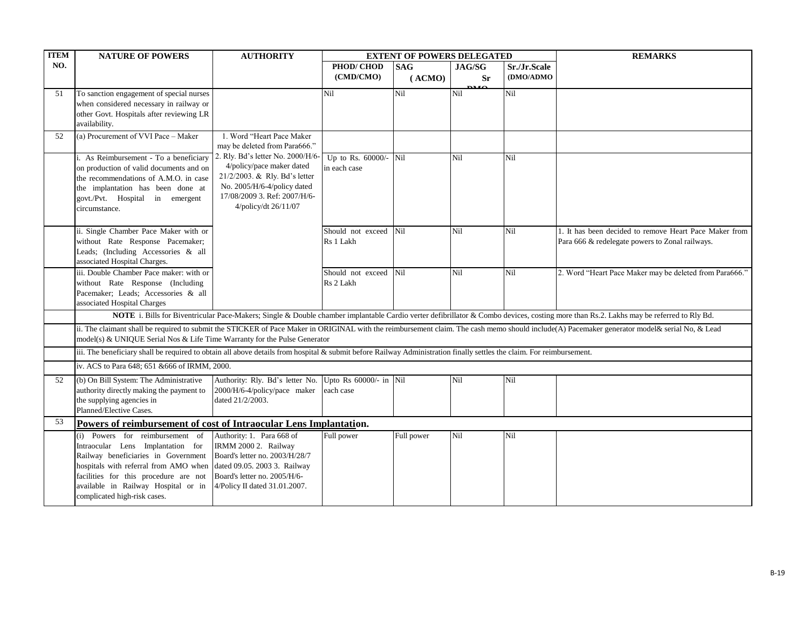| <b>TTEM</b> | <b>NATURE OF POWERS</b>                                                                                                                                               | <b>AUTHORITY</b>                                           | <b>EXTENT OF POWERS DELEGATED</b> |            |             |              | <b>REMARKS</b>                                                                                                                                                                                |  |  |
|-------------|-----------------------------------------------------------------------------------------------------------------------------------------------------------------------|------------------------------------------------------------|-----------------------------------|------------|-------------|--------------|-----------------------------------------------------------------------------------------------------------------------------------------------------------------------------------------------|--|--|
| NO.         |                                                                                                                                                                       |                                                            | PHOD/CHOD                         | <b>SAG</b> | JAG/SG      | Sr./Jr.Scale |                                                                                                                                                                                               |  |  |
|             |                                                                                                                                                                       |                                                            | (CMD/CMO)                         | (ACMO)     | <b>Sr</b>   | (DMO/ADMO    |                                                                                                                                                                                               |  |  |
| 51          | To sanction engagement of special nurses                                                                                                                              |                                                            | Nil                               | Nil        | 0.10<br>Nil | Nil          |                                                                                                                                                                                               |  |  |
|             | when considered necessary in railway or                                                                                                                               |                                                            |                                   |            |             |              |                                                                                                                                                                                               |  |  |
|             | other Govt. Hospitals after reviewing LR                                                                                                                              |                                                            |                                   |            |             |              |                                                                                                                                                                                               |  |  |
|             | availability.                                                                                                                                                         |                                                            |                                   |            |             |              |                                                                                                                                                                                               |  |  |
| 52          | (a) Procurement of VVI Pace - Maker                                                                                                                                   | 1. Word "Heart Pace Maker                                  |                                   |            |             |              |                                                                                                                                                                                               |  |  |
|             |                                                                                                                                                                       | may be deleted from Para666."                              |                                   |            |             |              |                                                                                                                                                                                               |  |  |
|             | i. As Reimbursement - To a beneficiary                                                                                                                                | 2. Rly. Bd's letter No. 2000/H/6-                          | Up to Rs. 60000/- Nil             |            | Nil         | Nil          |                                                                                                                                                                                               |  |  |
|             | on production of valid documents and on                                                                                                                               | 4/policy/pace maker dated<br>21/2/2003. & Rly. Bd's letter | in each case                      |            |             |              |                                                                                                                                                                                               |  |  |
|             | the recommendations of A.M.O. in case                                                                                                                                 | No. 2005/H/6-4/policy dated                                |                                   |            |             |              |                                                                                                                                                                                               |  |  |
|             | the implantation has been done at                                                                                                                                     | 17/08/2009 3. Ref: 2007/H/6-                               |                                   |            |             |              |                                                                                                                                                                                               |  |  |
|             | govt./Pvt. Hospital in emergent<br>circumstance.                                                                                                                      | 4/policy/dt 26/11/07                                       |                                   |            |             |              |                                                                                                                                                                                               |  |  |
|             |                                                                                                                                                                       |                                                            |                                   |            |             |              |                                                                                                                                                                                               |  |  |
|             | ii. Single Chamber Pace Maker with or                                                                                                                                 |                                                            | Should not exceed                 | Nil        | Nil         | Nil          | 1. It has been decided to remove Heart Pace Maker from                                                                                                                                        |  |  |
|             | without Rate Response Pacemaker;                                                                                                                                      |                                                            | Rs 1 Lakh                         |            |             |              | Para 666 & redelegate powers to Zonal railways.                                                                                                                                               |  |  |
|             | Leads; (Including Accessories & all                                                                                                                                   |                                                            |                                   |            |             |              |                                                                                                                                                                                               |  |  |
|             | associated Hospital Charges.                                                                                                                                          |                                                            |                                   |            |             |              |                                                                                                                                                                                               |  |  |
|             | iii. Double Chamber Pace maker: with or                                                                                                                               |                                                            | Should not exceed Nil             |            | Nil         | Nil          | 2. Word "Heart Pace Maker may be deleted from Para666."                                                                                                                                       |  |  |
|             | without Rate Response (Including                                                                                                                                      |                                                            | Rs 2 Lakh                         |            |             |              |                                                                                                                                                                                               |  |  |
|             | Pacemaker; Leads; Accessories & all                                                                                                                                   |                                                            |                                   |            |             |              |                                                                                                                                                                                               |  |  |
|             | associated Hospital Charges                                                                                                                                           |                                                            |                                   |            |             |              |                                                                                                                                                                                               |  |  |
|             |                                                                                                                                                                       |                                                            |                                   |            |             |              | NOTE i. Bills for Biventricular Pace-Makers; Single & Double chamber implantable Cardio verter defibrillator & Combo devices, costing more than Rs.2. Lakhs may be referred to Rly Bd.        |  |  |
|             |                                                                                                                                                                       |                                                            |                                   |            |             |              | ii. The claimant shall be required to submit the STICKER of Pace Maker in ORIGINAL with the reimbursement claim. The cash memo should include(A) Pacemaker generator model& serial No, & Lead |  |  |
|             | model(s) & UNIQUE Serial Nos & Life Time Warranty for the Pulse Generator                                                                                             |                                                            |                                   |            |             |              |                                                                                                                                                                                               |  |  |
|             | iii. The beneficiary shall be required to obtain all above details from hospital & submit before Railway Administration finally settles the claim. For reimbursement. |                                                            |                                   |            |             |              |                                                                                                                                                                                               |  |  |
|             | iv. ACS to Para 648; 651 & 666 of IRMM, 2000.                                                                                                                         |                                                            |                                   |            |             |              |                                                                                                                                                                                               |  |  |
| 52          | (b) On Bill System: The Administrative                                                                                                                                | Authority: Rly. Bd's letter No.                            | Upto Rs 60000/- in Nil            |            | Nil         | Nil          |                                                                                                                                                                                               |  |  |
|             | authority directly making the payment to                                                                                                                              | 2000/H/6-4/policy/pace maker                               | each case                         |            |             |              |                                                                                                                                                                                               |  |  |
|             | the supplying agencies in                                                                                                                                             | dated 21/2/2003.                                           |                                   |            |             |              |                                                                                                                                                                                               |  |  |
|             | Planned/Elective Cases.                                                                                                                                               |                                                            |                                   |            |             |              |                                                                                                                                                                                               |  |  |
| 53          | Powers of reimbursement of cost of Intraocular Lens Implantation.                                                                                                     |                                                            |                                   |            |             |              |                                                                                                                                                                                               |  |  |
|             | (i) Powers for reimbursement of                                                                                                                                       | Authority: 1. Para 668 of                                  | Full power                        | Full power | Nil         | Nil          |                                                                                                                                                                                               |  |  |
|             | Intraocular Lens Implantation for                                                                                                                                     | IRMM 2000 2. Railway                                       |                                   |            |             |              |                                                                                                                                                                                               |  |  |
|             | Railway beneficiaries in Government                                                                                                                                   | Board's letter no. 2003/H/28/7                             |                                   |            |             |              |                                                                                                                                                                                               |  |  |
|             | hospitals with referral from AMO when                                                                                                                                 | dated 09.05. 2003 3. Railway                               |                                   |            |             |              |                                                                                                                                                                                               |  |  |
|             | facilities for this procedure are not                                                                                                                                 | Board's letter no. 2005/H/6-                               |                                   |            |             |              |                                                                                                                                                                                               |  |  |
|             | available in Railway Hospital or in                                                                                                                                   | 4/Policy II dated 31.01.2007.                              |                                   |            |             |              |                                                                                                                                                                                               |  |  |
|             | complicated high-risk cases.                                                                                                                                          |                                                            |                                   |            |             |              |                                                                                                                                                                                               |  |  |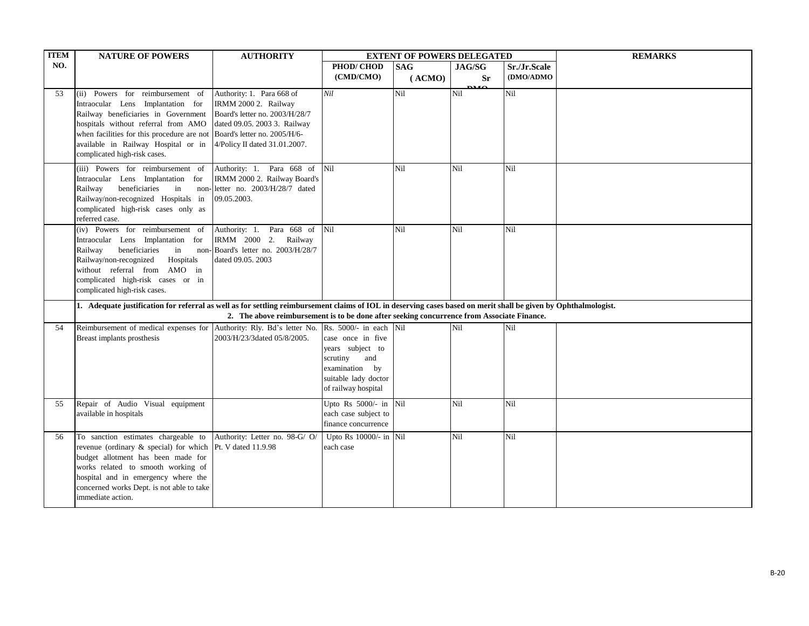| <b>ITEM</b> | <b>NATURE OF POWERS</b>                                                                                                                                                                                                                                                                               | <b>AUTHORITY</b>                                                                                                                                     |                                                                                                                           | <b>EXTENT OF POWERS DELEGATED</b> |                                   |                           | <b>REMARKS</b> |
|-------------|-------------------------------------------------------------------------------------------------------------------------------------------------------------------------------------------------------------------------------------------------------------------------------------------------------|------------------------------------------------------------------------------------------------------------------------------------------------------|---------------------------------------------------------------------------------------------------------------------------|-----------------------------------|-----------------------------------|---------------------------|----------------|
| NO.         |                                                                                                                                                                                                                                                                                                       |                                                                                                                                                      | PHOD/CHOD<br>(CMD/CMO)                                                                                                    | <b>SAG</b><br>(ACMO)              | JAG/SG<br><b>Sr</b><br><b>DMO</b> | Sr./Jr.Scale<br>(DMO/ADMO |                |
| 53          | (ii) Powers for reimbursement of<br>Intraocular Lens Implantation for<br>Railway beneficiaries in Government<br>hospitals without referral from AMO<br>when facilities for this procedure are not Board's letter no. 2005/H/6-<br>available in Railway Hospital or in<br>complicated high-risk cases. | Authority: 1. Para 668 of<br>IRMM 2000 2. Railway<br>Board's letter no. 2003/H/28/7<br>dated 09.05. 2003 3. Railway<br>4/Policy II dated 31.01.2007. | Nil                                                                                                                       | Nil                               | Nil                               | Nil                       |                |
|             | (iii) Powers for reimbursement of<br>Intraocular Lens Implantation for<br>Railway<br>beneficiaries<br>in<br>Railway/non-recognized Hospitals in<br>complicated high-risk cases only as<br>referred case.                                                                                              | Authority: 1. Para 668 of<br>IRMM 2000 2. Railway Board's<br>non-letter no. 2003/H/28/7 dated<br>09.05.2003.                                         | Nil                                                                                                                       | Nil                               | Nil                               | Nil                       |                |
|             | (iv) Powers for reimbursement of<br>Intraocular Lens Implantation for<br>beneficiaries<br>in<br>Railway<br>Railway/non-recognized<br>Hospitals<br>without referral from AMO in<br>complicated high-risk cases or in<br>complicated high-risk cases.                                                   | Authority: 1. Para 668 of<br>IRMM 2000 2. Railway<br>non-Board's letter no. 2003/H/28/7<br>dated 09.05. 2003                                         | Nil                                                                                                                       | Nil                               | Nil                               | Nil                       |                |
|             | 1. Adequate justification for referral as well as for settling reimbursement claims of IOL in deserving cases based on merit shall be given by Ophthalmologist.                                                                                                                                       | 2. The above reimbursement is to be done after seeking concurrence from Associate Finance.                                                           |                                                                                                                           |                                   |                                   |                           |                |
| 54          | Reimbursement of medical expenses for Authority: Rly. Bd's letter No. Rs. 5000/- in each Nil<br>Breast implants prosthesis                                                                                                                                                                            | 2003/H/23/3dated 05/8/2005.                                                                                                                          | case once in five<br>years subject to<br>scrutiny<br>and<br>examination by<br>suitable lady doctor<br>of railway hospital |                                   | Nil                               | Nil                       |                |
| 55          | Repair of Audio Visual equipment<br>available in hospitals                                                                                                                                                                                                                                            |                                                                                                                                                      | Upto Rs 5000/- in Nil<br>each case subject to<br>finance concurrence                                                      |                                   | Nil                               | Nil                       |                |
| 56          | To sanction estimates chargeable to<br>revenue (ordinary & special) for which Pt. V dated 11.9.98<br>budget allotment has been made for<br>works related to smooth working of<br>hospital and in emergency where the<br>concerned works Dept. is not able to take<br>immediate action.                | Authority: Letter no. 98-G/ O/                                                                                                                       | Upto Rs 10000/- in Nil<br>each case                                                                                       |                                   | Nil                               | Nil                       |                |